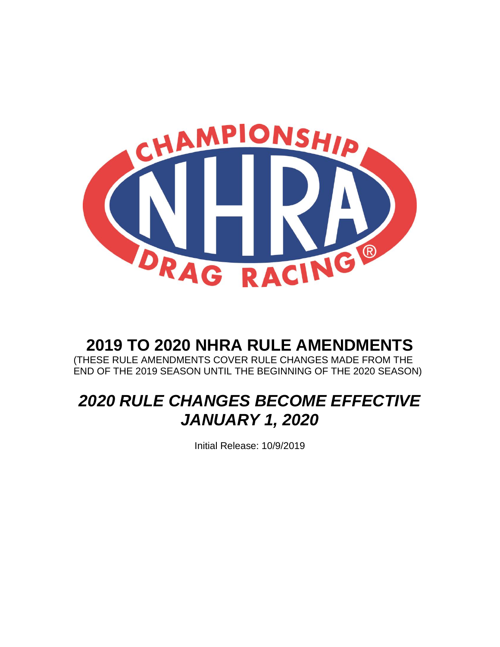

# **2019 TO 2020 NHRA RULE AMENDMENTS**

(THESE RULE AMENDMENTS COVER RULE CHANGES MADE FROM THE END OF THE 2019 SEASON UNTIL THE BEGINNING OF THE 2020 SEASON)

# *2020 RULE CHANGES BECOME EFFECTIVE JANUARY 1, 2020*

Initial Release: 10/9/2019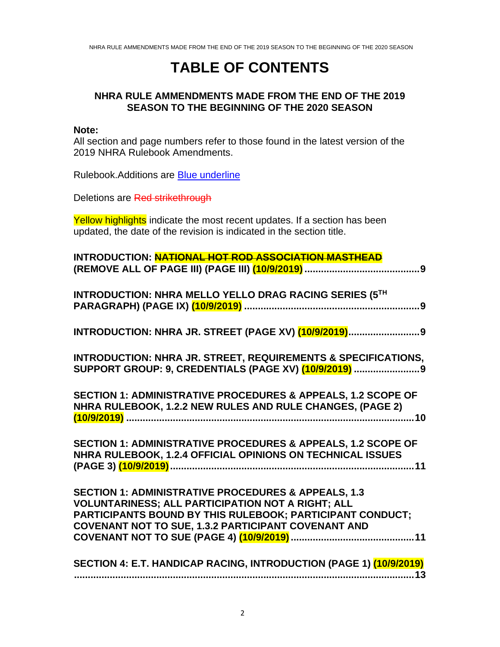# **TABLE OF CONTENTS**

# **NHRA RULE AMMENDMENTS MADE FROM THE END OF THE 2019 SEASON TO THE BEGINNING OF THE 2020 SEASON**

#### **Note:**

All section and page numbers refer to those found in the latest version of the 2019 NHRA Rulebook Amendments.

Rulebook.Additions are Blue underline

Deletions are Red strikethrough

Yellow highlights indicate the most recent updates. If a section has been updated, the date of the revision is indicated in the section title.

| INTRODUCTION: NATIONAL HOT ROD ASSOCIATION MASTHEAD                                                                                                                                                                                                          |
|--------------------------------------------------------------------------------------------------------------------------------------------------------------------------------------------------------------------------------------------------------------|
| <b>INTRODUCTION: NHRA MELLO YELLO DRAG RACING SERIES (5TH</b>                                                                                                                                                                                                |
| INTRODUCTION: NHRA JR. STREET (PAGE XV) (10/9/2019) 9                                                                                                                                                                                                        |
| <b>INTRODUCTION: NHRA JR. STREET, REQUIREMENTS &amp; SPECIFICATIONS,</b><br>SUPPORT GROUP: 9, CREDENTIALS (PAGE XV) (10/9/2019)                                                                                                                              |
| <b>SECTION 1: ADMINISTRATIVE PROCEDURES &amp; APPEALS, 1.2 SCOPE OF</b><br>NHRA RULEBOOK, 1.2.2 NEW RULES AND RULE CHANGES, (PAGE 2)                                                                                                                         |
| <b>SECTION 1: ADMINISTRATIVE PROCEDURES &amp; APPEALS, 1.2 SCOPE OF</b><br>NHRA RULEBOOK, 1.2.4 OFFICIAL OPINIONS ON TECHNICAL ISSUES                                                                                                                        |
| <b>SECTION 1: ADMINISTRATIVE PROCEDURES &amp; APPEALS, 1.3</b><br><b>VOLUNTARINESS; ALL PARTICIPATION NOT A RIGHT; ALL</b><br><b>PARTICIPANTS BOUND BY THIS RULEBOOK; PARTICIPANT CONDUCT;</b><br><b>COVENANT NOT TO SUE, 1.3.2 PARTICIPANT COVENANT AND</b> |
| SECTION 4: E.T. HANDICAP RACING, INTRODUCTION (PAGE 1) (10/9/2019)                                                                                                                                                                                           |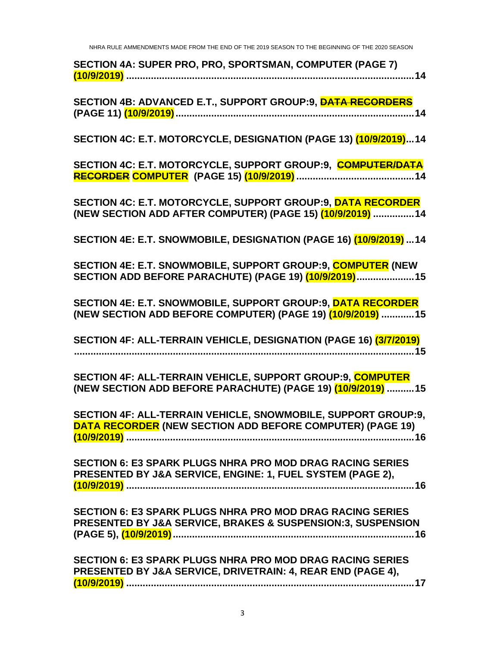| SECTION 4A: SUPER PRO, PRO, SPORTSMAN, COMPUTER (PAGE 7)                                                                        |
|---------------------------------------------------------------------------------------------------------------------------------|
| SECTION 4B: ADVANCED E.T., SUPPORT GROUP:9, DATA RECORDERS                                                                      |
| SECTION 4C: E.T. MOTORCYCLE, DESIGNATION (PAGE 13) (10/9/2019) 14                                                               |
| SECTION 4C: E.T. MOTORCYCLE, SUPPORT GROUP:9, COMPUTER/DATA                                                                     |
| SECTION 4C: E.T. MOTORCYCLE, SUPPORT GROUP:9, DATA RECORDER<br>(NEW SECTION ADD AFTER COMPUTER) (PAGE 15) (10/9/2019)  14       |
| SECTION 4E: E.T. SNOWMOBILE, DESIGNATION (PAGE 16) (10/9/2019)  14                                                              |
| SECTION 4E: E.T. SNOWMOBILE, SUPPORT GROUP:9, COMPUTER (NEW<br>SECTION ADD BEFORE PARACHUTE) (PAGE 19) (10/9/2019) 15           |
| SECTION 4E: E.T. SNOWMOBILE, SUPPORT GROUP:9, DATA RECORDER<br>(NEW SECTION ADD BEFORE COMPUTER) (PAGE 19) (10/9/2019)  15      |
| SECTION 4F: ALL-TERRAIN VEHICLE, DESIGNATION (PAGE 16) (3/7/2019)                                                               |
| SECTION 4F: ALL-TERRAIN VEHICLE, SUPPORT GROUP:9, COMPUTER<br>(NEW SECTION ADD BEFORE PARACHUTE) (PAGE 19) (10/9/2019)  15      |
| SECTION 4F: ALL-TERRAIN VEHICLE, SNOWMOBILE, SUPPORT GROUP:9,<br>DATA RECORDER (NEW SECTION ADD BEFORE COMPUTER) (PAGE 19)      |
| <b>SECTION 6: E3 SPARK PLUGS NHRA PRO MOD DRAG RACING SERIES</b><br>PRESENTED BY J&A SERVICE, ENGINE: 1, FUEL SYSTEM (PAGE 2),  |
| <b>SECTION 6: E3 SPARK PLUGS NHRA PRO MOD DRAG RACING SERIES</b><br>PRESENTED BY J&A SERVICE, BRAKES & SUSPENSION:3, SUSPENSION |
| <b>SECTION 6: E3 SPARK PLUGS NHRA PRO MOD DRAG RACING SERIES</b><br>PRESENTED BY J&A SERVICE, DRIVETRAIN: 4, REAR END (PAGE 4), |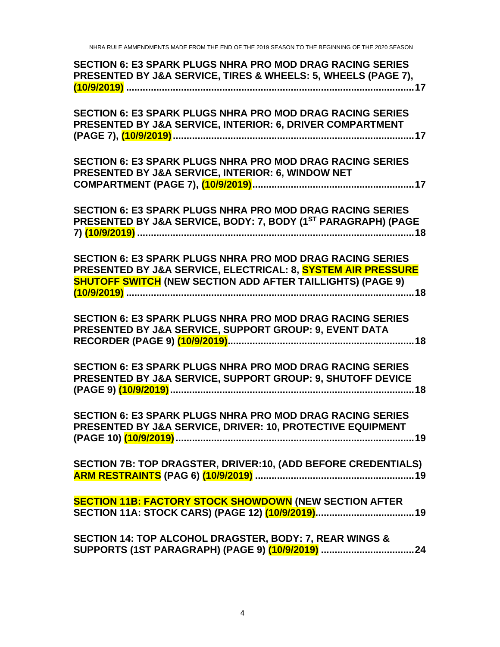| <b>SECTION 6: E3 SPARK PLUGS NHRA PRO MOD DRAG RACING SERIES</b><br>PRESENTED BY J&A SERVICE, TIRES & WHEELS: 5, WHEELS (PAGE 7),                                                                                |
|------------------------------------------------------------------------------------------------------------------------------------------------------------------------------------------------------------------|
| <b>SECTION 6: E3 SPARK PLUGS NHRA PRO MOD DRAG RACING SERIES</b><br>PRESENTED BY J&A SERVICE, INTERIOR: 6, DRIVER COMPARTMENT                                                                                    |
| <b>SECTION 6: E3 SPARK PLUGS NHRA PRO MOD DRAG RACING SERIES</b><br>PRESENTED BY J&A SERVICE, INTERIOR: 6, WINDOW NET                                                                                            |
| <b>SECTION 6: E3 SPARK PLUGS NHRA PRO MOD DRAG RACING SERIES</b><br>PRESENTED BY J&A SERVICE, BODY: 7, BODY (1ST PARAGRAPH) (PAGE                                                                                |
| <b>SECTION 6: E3 SPARK PLUGS NHRA PRO MOD DRAG RACING SERIES</b><br><b>PRESENTED BY J&amp;A SERVICE, ELECTRICAL: 8, SYSTEM AIR PRESSURE</b><br><b>SHUTOFF SWITCH (NEW SECTION ADD AFTER TAILLIGHTS) (PAGE 9)</b> |
| <b>SECTION 6: E3 SPARK PLUGS NHRA PRO MOD DRAG RACING SERIES</b><br>PRESENTED BY J&A SERVICE, SUPPORT GROUP: 9, EVENT DATA                                                                                       |
| <b>SECTION 6: E3 SPARK PLUGS NHRA PRO MOD DRAG RACING SERIES</b><br>PRESENTED BY J&A SERVICE, SUPPORT GROUP: 9, SHUTOFF DEVICE                                                                                   |
| <b>SECTION 6: E3 SPARK PLUGS NHRA PRO MOD DRAG RACING SERIES</b><br>PRESENTED BY J&A SERVICE, DRIVER: 10, PROTECTIVE EQUIPMENT                                                                                   |
| SECTION 7B: TOP DRAGSTER, DRIVER:10, (ADD BEFORE CREDENTIALS)                                                                                                                                                    |
| <b>SECTION 11B: FACTORY STOCK SHOWDOWN (NEW SECTION AFTER</b>                                                                                                                                                    |
| SECTION 14: TOP ALCOHOL DRAGSTER, BODY: 7, REAR WINGS &                                                                                                                                                          |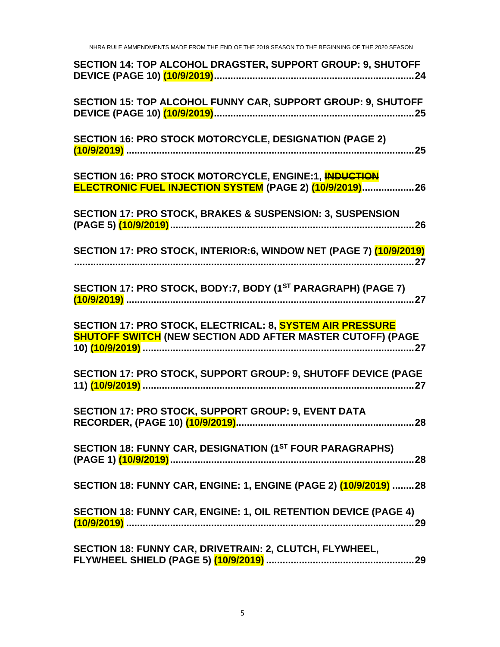| SECTION 14: TOP ALCOHOL DRAGSTER, SUPPORT GROUP: 9, SHUTOFF                                                                           |
|---------------------------------------------------------------------------------------------------------------------------------------|
| SECTION 15: TOP ALCOHOL FUNNY CAR, SUPPORT GROUP: 9, SHUTOFF                                                                          |
| <b>SECTION 16: PRO STOCK MOTORCYCLE, DESIGNATION (PAGE 2)</b>                                                                         |
| <b>SECTION 16: PRO STOCK MOTORCYCLE, ENGINE:1, INDUCTION</b><br>ELECTRONIC FUEL INJECTION SYSTEM (PAGE 2) (10/9/2019) 26              |
| <b>SECTION 17: PRO STOCK, BRAKES &amp; SUSPENSION: 3, SUSPENSION</b>                                                                  |
| SECTION 17: PRO STOCK, INTERIOR:6, WINDOW NET (PAGE 7) (10/9/2019)                                                                    |
| SECTION 17: PRO STOCK, BODY:7, BODY (1ST PARAGRAPH) (PAGE 7)                                                                          |
| <b>SECTION 17: PRO STOCK, ELECTRICAL: 8, SYSTEM AIR PRESSURE</b><br><b>SHUTOFF SWITCH (NEW SECTION ADD AFTER MASTER CUTOFF) (PAGE</b> |
| SECTION 17: PRO STOCK, SUPPORT GROUP: 9, SHUTOFF DEVICE (PAGE<br><u>11) (10/9/2019) ………………………………………………………………………………………27</u>           |
| SECTION 17: PRO STOCK, SUPPORT GROUP: 9, EVENT DATA                                                                                   |
| SECTION 18: FUNNY CAR, DESIGNATION (1ST FOUR PARAGRAPHS)                                                                              |
| SECTION 18: FUNNY CAR, ENGINE: 1, ENGINE (PAGE 2) (10/9/2019) 28                                                                      |
| SECTION 18: FUNNY CAR, ENGINE: 1, OIL RETENTION DEVICE (PAGE 4)                                                                       |
| SECTION 18: FUNNY CAR, DRIVETRAIN: 2, CLUTCH, FLYWHEEL,                                                                               |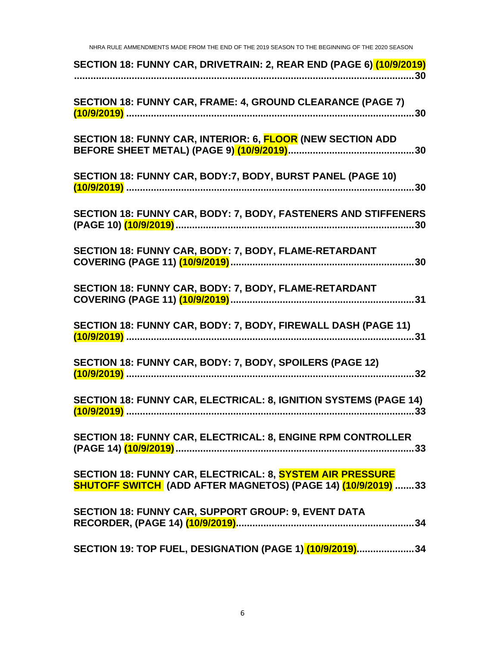| SECTION 18: FUNNY CAR, DRIVETRAIN: 2, REAR END (PAGE 6) (10/9/2019)                                                              |
|----------------------------------------------------------------------------------------------------------------------------------|
| SECTION 18: FUNNY CAR, FRAME: 4, GROUND CLEARANCE (PAGE 7)                                                                       |
| SECTION 18: FUNNY CAR, INTERIOR: 6, FLOOR (NEW SECTION ADD                                                                       |
| SECTION 18: FUNNY CAR, BODY: 7, BODY, BURST PANEL (PAGE 10)                                                                      |
| SECTION 18: FUNNY CAR, BODY: 7, BODY, FASTENERS AND STIFFENERS                                                                   |
| SECTION 18: FUNNY CAR, BODY: 7, BODY, FLAME-RETARDANT                                                                            |
| SECTION 18: FUNNY CAR, BODY: 7, BODY, FLAME-RETARDANT                                                                            |
| SECTION 18: FUNNY CAR, BODY: 7, BODY, FIREWALL DASH (PAGE 11)                                                                    |
| SECTION 18: FUNNY CAR, BODY: 7, BODY, SPOILERS (PAGE 12)                                                                         |
| SECTION 18: FUNNY CAR, ELECTRICAL: 8, IGNITION SYSTEMS (PAGE 14)                                                                 |
| SECTION 18: FUNNY CAR, ELECTRICAL: 8, ENGINE RPM CONTROLLER<br>33                                                                |
| <b>SECTION 18: FUNNY CAR, ELECTRICAL: 8, SYSTEM AIR PRESSURE</b><br>SHUTOFF SWITCH (ADD AFTER MAGNETOS) (PAGE 14) (10/9/2019) 33 |
| <b>SECTION 18: FUNNY CAR, SUPPORT GROUP: 9, EVENT DATA</b>                                                                       |
| SECTION 19: TOP FUEL, DESIGNATION (PAGE 1) (10/9/2019)34                                                                         |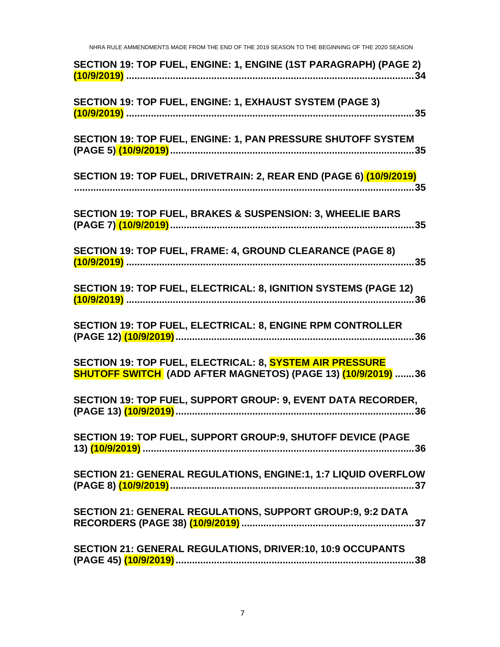| SECTION 19: TOP FUEL, ENGINE: 1, ENGINE (1ST PARAGRAPH) (PAGE 2)                                                                |
|---------------------------------------------------------------------------------------------------------------------------------|
| <b>SECTION 19: TOP FUEL, ENGINE: 1, EXHAUST SYSTEM (PAGE 3)</b>                                                                 |
| SECTION 19: TOP FUEL, ENGINE: 1, PAN PRESSURE SHUTOFF SYSTEM                                                                    |
| SECTION 19: TOP FUEL, DRIVETRAIN: 2, REAR END (PAGE 6) (10/9/2019)                                                              |
| <b>SECTION 19: TOP FUEL, BRAKES &amp; SUSPENSION: 3, WHEELIE BARS</b>                                                           |
| SECTION 19: TOP FUEL, FRAME: 4, GROUND CLEARANCE (PAGE 8)                                                                       |
| SECTION 19: TOP FUEL, ELECTRICAL: 8, IGNITION SYSTEMS (PAGE 12)                                                                 |
| SECTION 19: TOP FUEL, ELECTRICAL: 8, ENGINE RPM CONTROLLER                                                                      |
| <b>SECTION 19: TOP FUEL, ELECTRICAL: 8, SYSTEM AIR PRESSURE</b><br>SHUTOFF SWITCH (ADD AFTER MAGNETOS) (PAGE 13) (10/9/2019) 36 |
| SECTION 19: TOP FUEL, SUPPORT GROUP: 9, EVENT DATA RECORDER,                                                                    |
| SECTION 19: TOP FUEL, SUPPORT GROUP:9, SHUTOFF DEVICE (PAGE                                                                     |
| SECTION 21: GENERAL REGULATIONS, ENGINE:1, 1:7 LIQUID OVERFLOW                                                                  |
| SECTION 21: GENERAL REGULATIONS, SUPPORT GROUP:9, 9:2 DATA                                                                      |
| SECTION 21: GENERAL REGULATIONS, DRIVER:10, 10:9 OCCUPANTS                                                                      |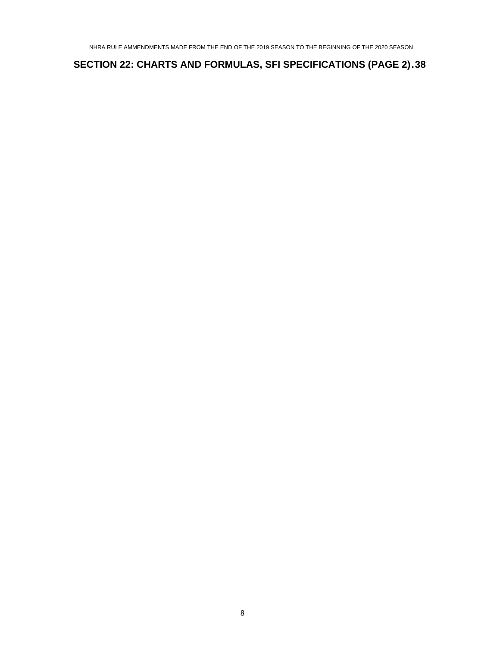# **[SECTION 22: CHARTS AND FORMULAS, SFI SPECIFICATIONS \(PAGE 2\).38](#page-37-1)**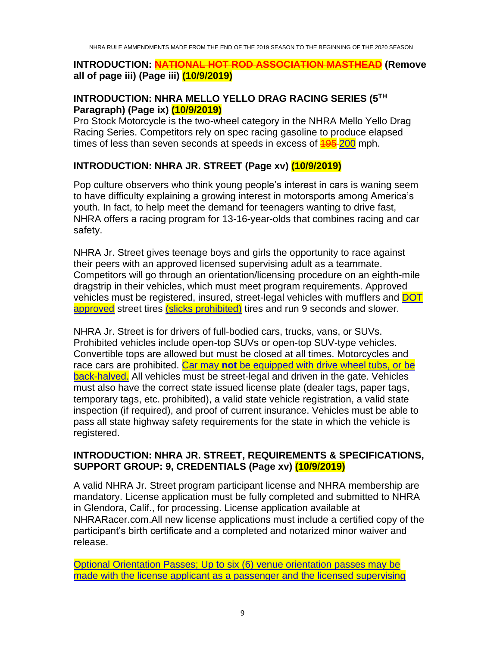# <span id="page-8-0"></span>**INTRODUCTION: NATIONAL HOT ROD ASSOCIATION MASTHEAD (Remove all of page iii) (Page iii) (10/9/2019)**

# <span id="page-8-1"></span>**INTRODUCTION: NHRA MELLO YELLO DRAG RACING SERIES (5TH Paragraph) (Page ix) (10/9/2019)**

Pro Stock Motorcycle is the two-wheel category in the NHRA Mello Yello Drag Racing Series. Competitors rely on spec racing gasoline to produce elapsed times of less than seven seconds at speeds in excess of  $\frac{495}{200}$  mph.

# <span id="page-8-2"></span>**INTRODUCTION: NHRA JR. STREET (Page xv) (10/9/2019)**

Pop culture observers who think young people's interest in cars is waning seem to have difficulty explaining a growing interest in motorsports among America's youth. In fact, to help meet the demand for teenagers wanting to drive fast, NHRA offers a racing program for 13-16-year-olds that combines racing and car safety.

NHRA Jr. Street gives teenage boys and girls the opportunity to race against their peers with an approved licensed supervising adult as a teammate. Competitors will go through an orientation/licensing procedure on an eighth-mile dragstrip in their vehicles, which must meet program requirements. Approved vehicles must be registered, insured, street-legal vehicles with mufflers and **DOT** approved street tires (slicks prohibited) tires and run 9 seconds and slower.

NHRA Jr. Street is for drivers of full-bodied cars, trucks, vans, or SUVs. Prohibited vehicles include open-top SUVs or open-top SUV-type vehicles. Convertible tops are allowed but must be closed at all times. Motorcycles and race cars are prohibited. Car may **not** be equipped with drive wheel tubs, or be back-halved. All vehicles must be street-legal and driven in the gate. Vehicles must also have the correct state issued license plate (dealer tags, paper tags, temporary tags, etc. prohibited), a valid state vehicle registration, a valid state inspection (if required), and proof of current insurance. Vehicles must be able to pass all state highway safety requirements for the state in which the vehicle is registered.

# <span id="page-8-3"></span>**INTRODUCTION: NHRA JR. STREET, REQUIREMENTS & SPECIFICATIONS, SUPPORT GROUP: 9, CREDENTIALS (Page xv) (10/9/2019)**

A valid NHRA Jr. Street program participant license and NHRA membership are mandatory. License application must be fully completed and submitted to NHRA in Glendora, Calif., for processing. License application available at NHRARacer.com.All new license applications must include a certified copy of the participant's birth certificate and a completed and notarized minor waiver and release.

Optional Orientation Passes; Up to six (6) venue orientation passes may be made with the license applicant as a passenger and the licensed supervising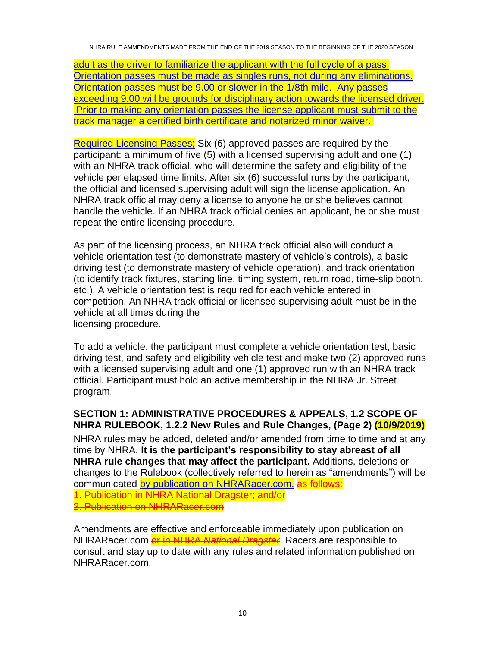adult as the driver to familiarize the applicant with the full cycle of a pass. Orientation passes must be made as singles runs, not during any eliminations. Orientation passes must be 9.00 or slower in the 1/8th mile. Any passes exceeding 9.00 will be grounds for disciplinary action towards the licensed driver. Prior to making any orientation passes the license applicant must submit to the track manager a certified birth certificate and notarized minor waiver.

Required Licensing Passes; Six (6) approved passes are required by the participant: a minimum of five (5) with a licensed supervising adult and one (1) with an NHRA track official, who will determine the safety and eligibility of the vehicle per elapsed time limits. After six (6) successful runs by the participant, the official and licensed supervising adult will sign the license application. An NHRA track official may deny a license to anyone he or she believes cannot handle the vehicle. If an NHRA track official denies an applicant, he or she must repeat the entire licensing procedure.

As part of the licensing process, an NHRA track official also will conduct a vehicle orientation test (to demonstrate mastery of vehicle's controls), a basic driving test (to demonstrate mastery of vehicle operation), and track orientation (to identify track fixtures, starting line, timing system, return road, time-slip booth, etc.). A vehicle orientation test is required for each vehicle entered in competition. An NHRA track official or licensed supervising adult must be in the vehicle at all times during the licensing procedure.

To add a vehicle, the participant must complete a vehicle orientation test, basic driving test, and safety and eligibility vehicle test and make two (2) approved runs with a licensed supervising adult and one (1) approved run with an NHRA track official. Participant must hold an active membership in the NHRA Jr. Street program.

# <span id="page-9-0"></span>**SECTION 1: ADMINISTRATIVE PROCEDURES & APPEALS, 1.2 SCOPE OF NHRA RULEBOOK, 1.2.2 New Rules and Rule Changes, (Page 2) (10/9/2019)**

NHRA rules may be added, deleted and/or amended from time to time and at any time by NHRA. **It is the participant's responsibility to stay abreast of all NHRA rule changes that may affect the participant.** Additions, deletions or changes to the Rulebook (collectively referred to herein as "amendments") will be communicated by publication on NHRARacer.com. as follows: 1. Publication in NHRA National Dragster; and/or 2. Publication on NHRARacer.com

Amendments are effective and enforceable immediately upon publication on NHRARacer.com **or in NHRA** *National Dragster*. Racers are responsible to consult and stay up to date with any rules and related information published on NHRARacer.com.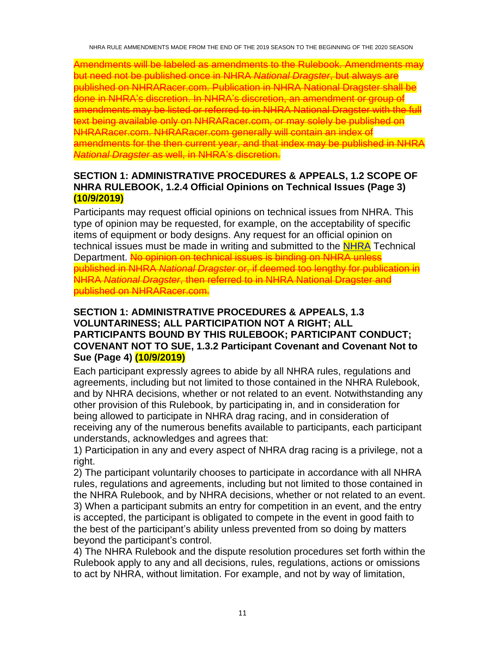Amendments will be labeled as amendments to the Rulebook. Amendments may but need not be published once in NHRA *National Dragster*, but always are published on NHRARacer.com. Publication in NHRA National Dragster shall be done in NHRA's discretion. In NHRA's discretion, an amendment or group of amendments may be listed or referred to in NHRA National Dragster with the full text being available only on NHRARacer.com, or may solely be published on NHRARacer.com. NHRARacer.com generally will contain an index of amendments for the then current year, and that index may be published in NHRA *National Dragster* as well, in NHRA's discretion.

# <span id="page-10-0"></span>**SECTION 1: ADMINISTRATIVE PROCEDURES & APPEALS, 1.2 SCOPE OF NHRA RULEBOOK, 1.2.4 Official Opinions on Technical Issues (Page 3) (10/9/2019)**

Participants may request official opinions on technical issues from NHRA. This type of opinion may be requested, for example, on the acceptability of specific items of equipment or body designs. Any request for an official opinion on technical issues must be made in writing and submitted to the NHRA Technical Department. No opinion on technical issues is binding on NHRA unless published in NHRA *National Dragster* or, if deemed too lengthy for publication in NHRA *National Dragster*, then referred to in NHRA National Dragster and published on NHRARacer.com.

# <span id="page-10-1"></span>**SECTION 1: ADMINISTRATIVE PROCEDURES & APPEALS, 1.3 VOLUNTARINESS; ALL PARTICIPATION NOT A RIGHT; ALL PARTICIPANTS BOUND BY THIS RULEBOOK; PARTICIPANT CONDUCT; COVENANT NOT TO SUE, 1.3.2 Participant Covenant and Covenant Not to Sue (Page 4) (10/9/2019)**

Each participant expressly agrees to abide by all NHRA rules, regulations and agreements, including but not limited to those contained in the NHRA Rulebook, and by NHRA decisions, whether or not related to an event. Notwithstanding any other provision of this Rulebook, by participating in, and in consideration for being allowed to participate in NHRA drag racing, and in consideration of receiving any of the numerous benefits available to participants, each participant understands, acknowledges and agrees that:

1) Participation in any and every aspect of NHRA drag racing is a privilege, not a right.

2) The participant voluntarily chooses to participate in accordance with all NHRA rules, regulations and agreements, including but not limited to those contained in the NHRA Rulebook, and by NHRA decisions, whether or not related to an event. 3) When a participant submits an entry for competition in an event, and the entry is accepted, the participant is obligated to compete in the event in good faith to the best of the participant's ability unless prevented from so doing by matters beyond the participant's control.

4) The NHRA Rulebook and the dispute resolution procedures set forth within the Rulebook apply to any and all decisions, rules, regulations, actions or omissions to act by NHRA, without limitation. For example, and not by way of limitation,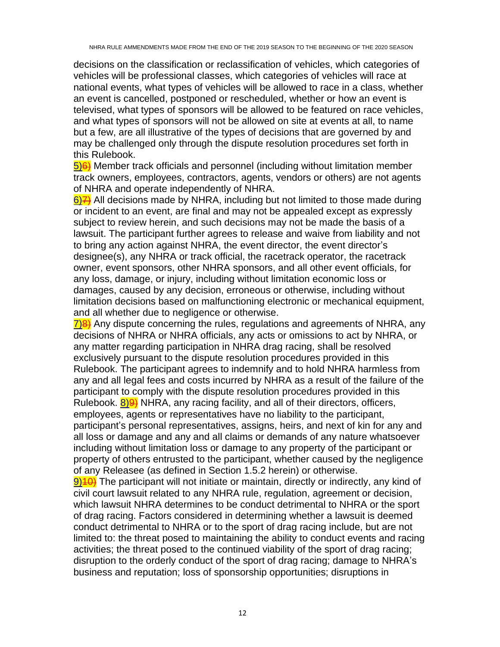decisions on the classification or reclassification of vehicles, which categories of vehicles will be professional classes, which categories of vehicles will race at national events, what types of vehicles will be allowed to race in a class, whether an event is cancelled, postponed or rescheduled, whether or how an event is televised, what types of sponsors will be allowed to be featured on race vehicles, and what types of sponsors will not be allowed on site at events at all, to name but a few, are all illustrative of the types of decisions that are governed by and may be challenged only through the dispute resolution procedures set forth in this Rulebook.

5)<sup>6</sup>) Member track officials and personnel (including without limitation member track owners, employees, contractors, agents, vendors or others) are not agents of NHRA and operate independently of NHRA.

 $6$ <sup>2</sup>) All decisions made by NHRA, including but not limited to those made during or incident to an event, are final and may not be appealed except as expressly subject to review herein, and such decisions may not be made the basis of a lawsuit. The participant further agrees to release and waive from liability and not to bring any action against NHRA, the event director, the event director's designee(s), any NHRA or track official, the racetrack operator, the racetrack owner, event sponsors, other NHRA sponsors, and all other event officials, for any loss, damage, or injury, including without limitation economic loss or damages, caused by any decision, erroneous or otherwise, including without limitation decisions based on malfunctioning electronic or mechanical equipment, and all whether due to negligence or otherwise.

 $7)8$ ) Any dispute concerning the rules, regulations and agreements of NHRA, any decisions of NHRA or NHRA officials, any acts or omissions to act by NHRA, or any matter regarding participation in NHRA drag racing, shall be resolved exclusively pursuant to the dispute resolution procedures provided in this Rulebook. The participant agrees to indemnify and to hold NHRA harmless from any and all legal fees and costs incurred by NHRA as a result of the failure of the participant to comply with the dispute resolution procedures provided in this Rulebook.  $8\sqrt{9}$  NHRA, any racing facility, and all of their directors, officers, employees, agents or representatives have no liability to the participant, participant's personal representatives, assigns, heirs, and next of kin for any and all loss or damage and any and all claims or demands of any nature whatsoever including without limitation loss or damage to any property of the participant or property of others entrusted to the participant, whether caused by the negligence of any Releasee (as defined in Section 1.5.2 herein) or otherwise.

9)<sup>10</sup>/<sub>9</sub> The participant will not initiate or maintain, directly or indirectly, any kind of civil court lawsuit related to any NHRA rule, regulation, agreement or decision, which lawsuit NHRA determines to be conduct detrimental to NHRA or the sport of drag racing. Factors considered in determining whether a lawsuit is deemed conduct detrimental to NHRA or to the sport of drag racing include, but are not limited to: the threat posed to maintaining the ability to conduct events and racing activities; the threat posed to the continued viability of the sport of drag racing; disruption to the orderly conduct of the sport of drag racing; damage to NHRA's business and reputation; loss of sponsorship opportunities; disruptions in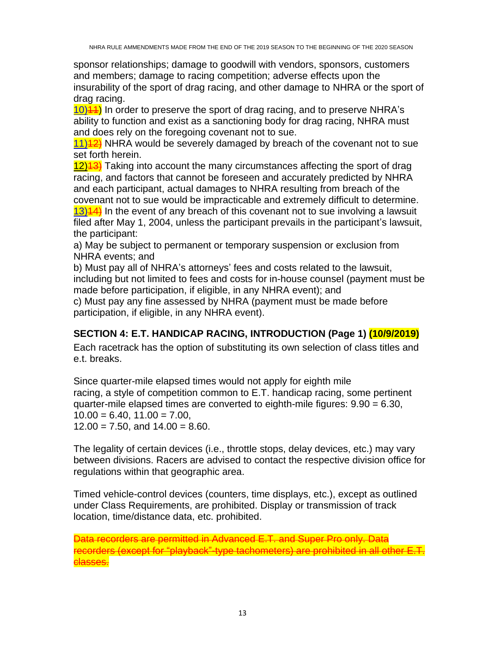sponsor relationships; damage to goodwill with vendors, sponsors, customers and members; damage to racing competition; adverse effects upon the insurability of the sport of drag racing, and other damage to NHRA or the sport of drag racing.

10)<sup>44</sup>) In order to preserve the sport of drag racing, and to preserve NHRA's ability to function and exist as a sanctioning body for drag racing, NHRA must and does rely on the foregoing covenant not to sue.

 $11$ )<sup>42</sup>) NHRA would be severely damaged by breach of the covenant not to sue set forth herein.

12)<sup>13</sup>/<sub>13</sub></sub> Taking into account the many circumstances affecting the sport of drag racing, and factors that cannot be foreseen and accurately predicted by NHRA and each participant, actual damages to NHRA resulting from breach of the covenant not to sue would be impracticable and extremely difficult to determine.  $13$ )<sup>14</sup>) In the event of any breach of this covenant not to sue involving a lawsuit filed after May 1, 2004, unless the participant prevails in the participant's lawsuit, the participant:

a) May be subject to permanent or temporary suspension or exclusion from NHRA events; and

b) Must pay all of NHRA's attorneys' fees and costs related to the lawsuit, including but not limited to fees and costs for in-house counsel (payment must be made before participation, if eligible, in any NHRA event); and

c) Must pay any fine assessed by NHRA (payment must be made before participation, if eligible, in any NHRA event).

# <span id="page-12-0"></span>**SECTION 4: E.T. HANDICAP RACING, INTRODUCTION (Page 1) (10/9/2019)**

Each racetrack has the option of substituting its own selection of class titles and e.t. breaks.

Since quarter-mile elapsed times would not apply for eighth mile racing, a style of competition common to E.T. handicap racing, some pertinent quarter-mile elapsed times are converted to eighth-mile figures: 9.90 = 6.30,  $10.00 = 6.40, 11.00 = 7.00,$  $12.00 = 7.50$ , and  $14.00 = 8.60$ .

The legality of certain devices (i.e., throttle stops, delay devices, etc.) may vary between divisions. Racers are advised to contact the respective division office for regulations within that geographic area.

Timed vehicle-control devices (counters, time displays, etc.), except as outlined under Class Requirements, are prohibited. Display or transmission of track location, time/distance data, etc. prohibited.

Data recorders are permitted in Advanced E.T. and Super Pro only. Data recorders (except for "playback"-type tachometers) are prohibited in all other E.T. classes.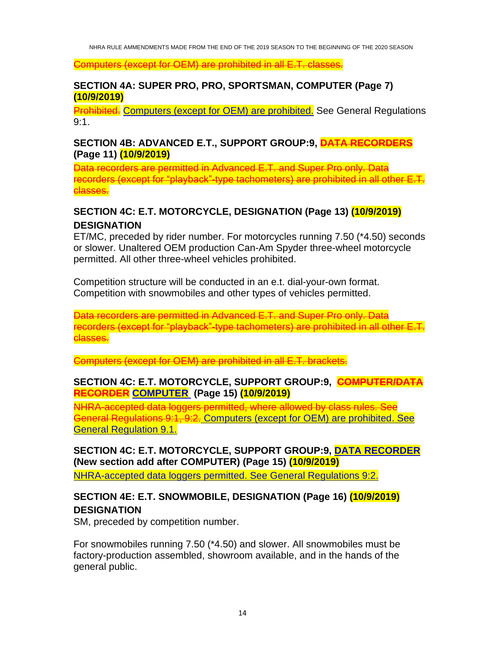Computers (except for OEM) are prohibited in all E.T. classes.

# <span id="page-13-0"></span>**SECTION 4A: SUPER PRO, PRO, SPORTSMAN, COMPUTER (Page 7) (10/9/2019)**

**Prohibited.** Computers (except for OEM) are prohibited. See General Regulations 9:1.

## <span id="page-13-1"></span>**SECTION 4B: ADVANCED E.T., SUPPORT GROUP:9, DATA RECORDERS (Page 11) (10/9/2019)**

Data recorders are permitted in Advanced E.T. and Super Pro only. Data recorders (except for "playback"-type tachometers) are prohibited in all other E.T. classes.

# <span id="page-13-2"></span>**SECTION 4C: E.T. MOTORCYCLE, DESIGNATION (Page 13) (10/9/2019) DESIGNATION**

ET/MC, preceded by rider number. For motorcycles running 7.50 (\*4.50) seconds or slower. Unaltered OEM production Can-Am Spyder three-wheel motorcycle permitted. All other three-wheel vehicles prohibited.

Competition structure will be conducted in an e.t. dial-your-own format. Competition with snowmobiles and other types of vehicles permitted.

Data recorders are permitted in Advanced E.T. and Super Pro only. Data recorders (except for "playback"-type tachometers) are prohibited in all other E.T. classes.

Computers (except for OEM) are prohibited in all E.T. brackets.

# <span id="page-13-3"></span>**SECTION 4C: E.T. MOTORCYCLE, SUPPORT GROUP:9, COMPUTER/DATA RECORDER COMPUTER (Page 15) (10/9/2019)**

NHRA-accepted data loggers permitted, where allowed by class rules. See General Regulations 9:1, 9:2. Computers (except for OEM) are prohibited. See General Regulation 9.1.

# <span id="page-13-4"></span>**SECTION 4C: E.T. MOTORCYCLE, SUPPORT GROUP:9, DATA RECORDER (New section add after COMPUTER) (Page 15) (10/9/2019)**

NHRA-accepted data loggers permitted. See General Regulations 9:2.

# <span id="page-13-5"></span>**SECTION 4E: E.T. SNOWMOBILE, DESIGNATION (Page 16) (10/9/2019) DESIGNATION**

SM, preceded by competition number.

For snowmobiles running 7.50 (\*4.50) and slower. All snowmobiles must be factory-production assembled, showroom available, and in the hands of the general public.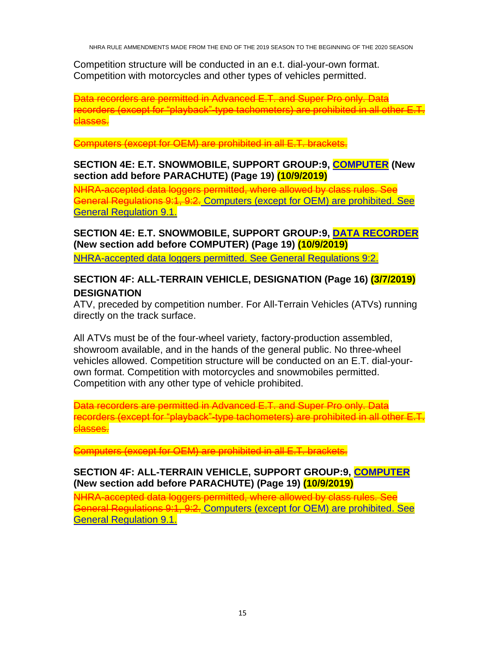Competition structure will be conducted in an e.t. dial-your-own format. Competition with motorcycles and other types of vehicles permitted.

Data recorders are permitted in Advanced E.T. and Super Pro only. Data recorders (except for "playback"-type tachometers) are prohibited in all other E.T. classes.

Computers (except for OEM) are prohibited in all E.T. brackets.

# <span id="page-14-0"></span>**SECTION 4E: E.T. SNOWMOBILE, SUPPORT GROUP:9, COMPUTER (New section add before PARACHUTE) (Page 19) (10/9/2019)**

NHRA-accepted data loggers permitted, where allowed by class rul General Regulations 9:1, 9:2. Computers (except for OEM) are prohibited. See General Regulation 9.1.

<span id="page-14-1"></span>**SECTION 4E: E.T. SNOWMOBILE, SUPPORT GROUP:9, DATA RECORDER (New section add before COMPUTER) (Page 19) (10/9/2019)**

<span id="page-14-2"></span>NHRA-accepted data loggers permitted. See General Regulations 9:2.

# **SECTION 4F: ALL-TERRAIN VEHICLE, DESIGNATION (Page 16) (3/7/2019) DESIGNATION**

ATV, preceded by competition number. For All-Terrain Vehicles (ATVs) running directly on the track surface.

All ATVs must be of the four-wheel variety, factory-production assembled, showroom available, and in the hands of the general public. No three-wheel vehicles allowed. Competition structure will be conducted on an E.T. dial-yourown format. Competition with motorcycles and snowmobiles permitted. Competition with any other type of vehicle prohibited.

Data recorders are permitted in Advanced E.T. and Super Pro only. Data recorders (except for "playback"-type tachometers) are prohibited in all other E.T. classes.

Computers (except for OEM) are prohibited in all E.T. brackets.

## <span id="page-14-3"></span>**SECTION 4F: ALL-TERRAIN VEHICLE, SUPPORT GROUP:9, COMPUTER (New section add before PARACHUTE) (Page 19) (10/9/2019)**

NHRA-accepted data loggers permitted, where allowe General Regulations 9:1, 9:2. Computers (except for OEM) are prohibited. See General Regulation 9.1.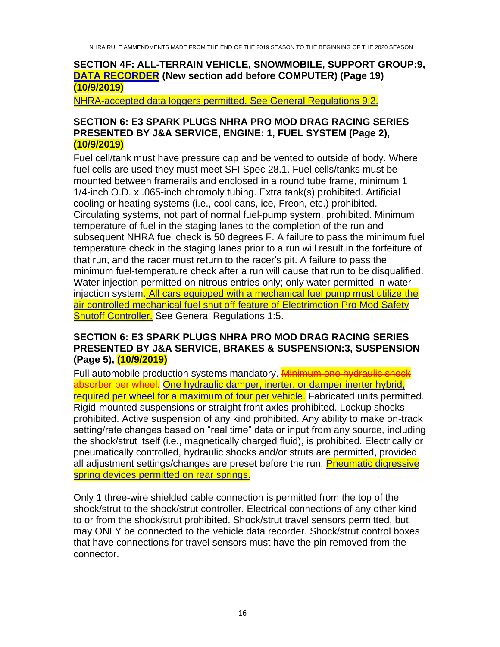# <span id="page-15-0"></span>**SECTION 4F: ALL-TERRAIN VEHICLE, SNOWMOBILE, SUPPORT GROUP:9, DATA RECORDER (New section add before COMPUTER) (Page 19) (10/9/2019)**

NHRA-accepted data loggers permitted. See General Regulations 9:2.

#### <span id="page-15-1"></span>**SECTION 6: E3 SPARK PLUGS NHRA PRO MOD DRAG RACING SERIES PRESENTED BY J&A SERVICE, ENGINE: 1, FUEL SYSTEM (Page 2), (10/9/2019)**

Fuel cell/tank must have pressure cap and be vented to outside of body. Where fuel cells are used they must meet SFI Spec 28.1. Fuel cells/tanks must be mounted between framerails and enclosed in a round tube frame, minimum 1 1/4-inch O.D. x .065-inch chromoly tubing. Extra tank(s) prohibited. Artificial cooling or heating systems (i.e., cool cans, ice, Freon, etc.) prohibited. Circulating systems, not part of normal fuel-pump system, prohibited. Minimum temperature of fuel in the staging lanes to the completion of the run and subsequent NHRA fuel check is 50 degrees F. A failure to pass the minimum fuel temperature check in the staging lanes prior to a run will result in the forfeiture of that run, and the racer must return to the racer's pit. A failure to pass the minimum fuel-temperature check after a run will cause that run to be disqualified. Water injection permitted on nitrous entries only; only water permitted in water injection system. All cars equipped with a mechanical fuel pump must utilize the air controlled mechanical fuel shut off feature of Electrimotion Pro Mod Safety Shutoff Controller. See General Regulations 1:5.

## <span id="page-15-2"></span>**SECTION 6: E3 SPARK PLUGS NHRA PRO MOD DRAG RACING SERIES PRESENTED BY J&A SERVICE, BRAKES & SUSPENSION:3, SUSPENSION (Page 5), (10/9/2019)**

Full automobile production systems mandatory. Minimum one hydraulic shock absorber per wheel. One hydraulic damper, inerter, or damper inerter hybrid, required per wheel for a maximum of four per vehicle. Fabricated units permitted. Rigid-mounted suspensions or straight front axles prohibited. Lockup shocks prohibited. Active suspension of any kind prohibited. Any ability to make on-track setting/rate changes based on "real time" data or input from any source, including the shock/strut itself (i.e., magnetically charged fluid), is prohibited. Electrically or pneumatically controlled, hydraulic shocks and/or struts are permitted, provided all adjustment settings/changes are preset before the run. **Pneumatic digressive** spring devices permitted on rear springs.

Only 1 three-wire shielded cable connection is permitted from the top of the shock/strut to the shock/strut controller. Electrical connections of any other kind to or from the shock/strut prohibited. Shock/strut travel sensors permitted, but may ONLY be connected to the vehicle data recorder. Shock/strut control boxes that have connections for travel sensors must have the pin removed from the connector.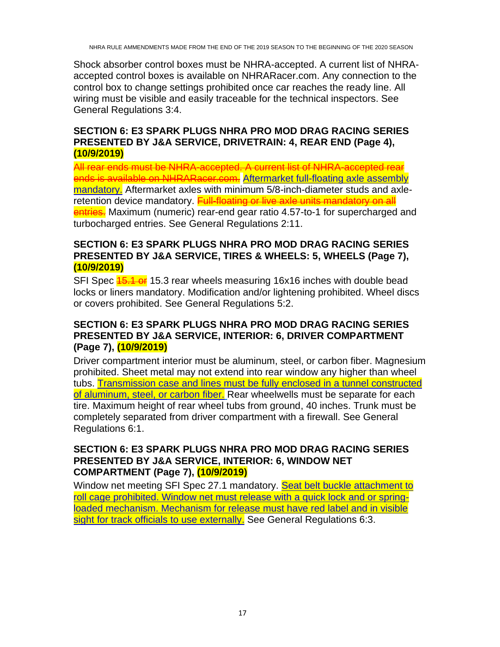Shock absorber control boxes must be NHRA-accepted. A current list of NHRAaccepted control boxes is available on NHRARacer.com. Any connection to the control box to change settings prohibited once car reaches the ready line. All wiring must be visible and easily traceable for the technical inspectors. See General Regulations 3:4.

# <span id="page-16-0"></span>**SECTION 6: E3 SPARK PLUGS NHRA PRO MOD DRAG RACING SERIES PRESENTED BY J&A SERVICE, DRIVETRAIN: 4, REAR END (Page 4), (10/9/2019)**

All rear ends must be NHRA-accepted. A current list of NHRA-accepted rear ends is available on NHRARacer.com. Aftermarket full-floating axle assembly mandatory. Aftermarket axles with minimum 5/8-inch-diameter studs and axleretention device mandatory. Full-floating or live axle units mandatory on all entries. Maximum (numeric) rear-end gear ratio 4.57-to-1 for supercharged and turbocharged entries. See General Regulations 2:11.

#### <span id="page-16-1"></span>**SECTION 6: E3 SPARK PLUGS NHRA PRO MOD DRAG RACING SERIES PRESENTED BY J&A SERVICE, TIRES & WHEELS: 5, WHEELS (Page 7), (10/9/2019)**

SFI Spec **15.1 or** 15.3 rear wheels measuring 16x16 inches with double bead locks or liners mandatory. Modification and/or lightening prohibited. Wheel discs or covers prohibited. See General Regulations 5:2.

## <span id="page-16-2"></span>**SECTION 6: E3 SPARK PLUGS NHRA PRO MOD DRAG RACING SERIES PRESENTED BY J&A SERVICE, INTERIOR: 6, DRIVER COMPARTMENT (Page 7), (10/9/2019)**

Driver compartment interior must be aluminum, steel, or carbon fiber. Magnesium prohibited. Sheet metal may not extend into rear window any higher than wheel tubs. Transmission case and lines must be fully enclosed in a tunnel constructed of aluminum, steel, or carbon fiber. Rear wheelwells must be separate for each tire. Maximum height of rear wheel tubs from ground, 40 inches. Trunk must be completely separated from driver compartment with a firewall. See General Regulations 6:1.

## <span id="page-16-3"></span>**SECTION 6: E3 SPARK PLUGS NHRA PRO MOD DRAG RACING SERIES PRESENTED BY J&A SERVICE, INTERIOR: 6, WINDOW NET COMPARTMENT (Page 7), (10/9/2019)**

Window net meeting SFI Spec 27.1 mandatory. Seat belt buckle attachment to roll cage prohibited. Window net must release with a quick lock and or springloaded mechanism. Mechanism for release must have red label and in visible sight for track officials to use externally. See General Regulations 6:3.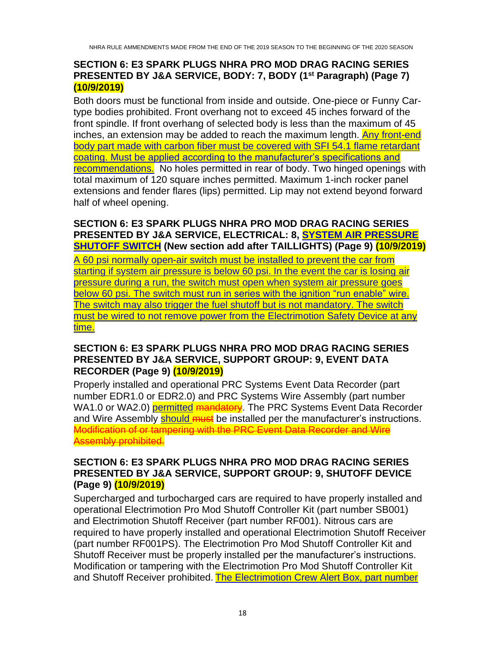# <span id="page-17-0"></span>**SECTION 6: E3 SPARK PLUGS NHRA PRO MOD DRAG RACING SERIES PRESENTED BY J&A SERVICE, BODY: 7, BODY (1st Paragraph) (Page 7) (10/9/2019)**

Both doors must be functional from inside and outside. One-piece or Funny Cartype bodies prohibited. Front overhang not to exceed 45 inches forward of the front spindle. If front overhang of selected body is less than the maximum of 45 inches, an extension may be added to reach the maximum length. Any front-end body part made with carbon fiber must be covered with SFI 54.1 flame retardant coating. Must be applied according to the manufacturer's specifications and recommendations. No holes permitted in rear of body. Two hinged openings with total maximum of 120 square inches permitted. Maximum 1-inch rocker panel extensions and fender flares (lips) permitted. Lip may not extend beyond forward half of wheel opening.

#### <span id="page-17-1"></span>**SECTION 6: E3 SPARK PLUGS NHRA PRO MOD DRAG RACING SERIES PRESENTED BY J&A SERVICE, ELECTRICAL: 8, SYSTEM AIR PRESSURE SHUTOFF SWITCH (New section add after TAILLIGHTS) (Page 9) (10/9/2019)**

A 60 psi normally open-air switch must be installed to prevent the car from starting if system air pressure is below 60 psi. In the event the car is losing air pressure during a run, the switch must open when system air pressure goes below 60 psi. The switch must run in series with the ignition "run enable" wire. The switch may also trigger the fuel shutoff but is not mandatory. The switch must be wired to not remove power from the Electrimotion Safety Device at any time.

# <span id="page-17-2"></span>**SECTION 6: E3 SPARK PLUGS NHRA PRO MOD DRAG RACING SERIES PRESENTED BY J&A SERVICE, SUPPORT GROUP: 9, EVENT DATA RECORDER (Page 9) (10/9/2019)**

Properly installed and operational PRC Systems Event Data Recorder (part number EDR1.0 or EDR2.0) and PRC Systems Wire Assembly (part number WA1.0 or WA2.0) permitted mandatory. The PRC Systems Event Data Recorder and Wire Assembly **should must** be installed per the manufacturer's instructions. Modification of or tampering with the PRC Event Data Recorder and Wire Assembly prohibited.

# <span id="page-17-3"></span>**SECTION 6: E3 SPARK PLUGS NHRA PRO MOD DRAG RACING SERIES PRESENTED BY J&A SERVICE, SUPPORT GROUP: 9, SHUTOFF DEVICE (Page 9) (10/9/2019)**

Supercharged and turbocharged cars are required to have properly installed and operational Electrimotion Pro Mod Shutoff Controller Kit (part number SB001) and Electrimotion Shutoff Receiver (part number RF001). Nitrous cars are required to have properly installed and operational Electrimotion Shutoff Receiver (part number RF001PS). The Electrimotion Pro Mod Shutoff Controller Kit and Shutoff Receiver must be properly installed per the manufacturer's instructions. Modification or tampering with the Electrimotion Pro Mod Shutoff Controller Kit and Shutoff Receiver prohibited. The Electrimotion Crew Alert Box, part number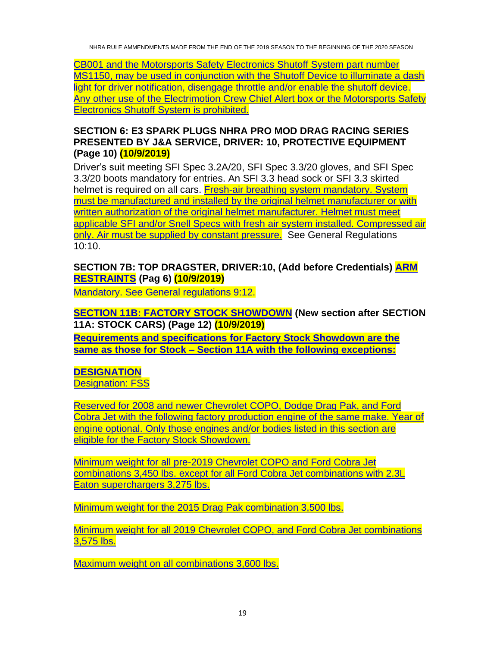CB001 and the Motorsports Safety Electronics Shutoff System part number MS1150, may be used in conjunction with the Shutoff Device to illuminate a dash light for driver notification, disengage throttle and/or enable the shutoff device. Any other use of the Electrimotion Crew Chief Alert box or the Motorsports Safety Electronics Shutoff System is prohibited.

# <span id="page-18-0"></span>**SECTION 6: E3 SPARK PLUGS NHRA PRO MOD DRAG RACING SERIES PRESENTED BY J&A SERVICE, DRIVER: 10, PROTECTIVE EQUIPMENT (Page 10) (10/9/2019)**

Driver's suit meeting SFI Spec 3.2A/20, SFI Spec 3.3/20 gloves, and SFI Spec 3.3/20 boots mandatory for entries. An SFI 3.3 head sock or SFI 3.3 skirted helmet is required on all cars. Fresh-air breathing system mandatory. System must be manufactured and installed by the original helmet manufacturer or with written authorization of the original helmet manufacturer. Helmet must meet applicable SFI and/or Snell Specs with fresh air system installed. Compressed air only. Air must be supplied by constant pressure. See General Regulations 10:10.

<span id="page-18-1"></span>**SECTION 7B: TOP DRAGSTER, DRIVER:10, (Add before Credentials) ARM RESTRAINTS (Pag 6) (10/9/2019)**

Mandatory. See General regulations 9:12.

<span id="page-18-2"></span>**SECTION 11B: FACTORY STOCK SHOWDOWN (New section after SECTION 11A: STOCK CARS) (Page 12) (10/9/2019)**

**Requirements and specifications for Factory Stock Showdown are the same as those for Stock – Section 11A with the following exceptions:**

**DESIGNATION Designation: FSS** 

Reserved for 2008 and newer Chevrolet COPO, Dodge Drag Pak, and Ford Cobra Jet with the following factory production engine of the same make. Year of engine optional. Only those engines and/or bodies listed in this section are eligible for the Factory Stock Showdown.

Minimum weight for all pre-2019 Chevrolet COPO and Ford Cobra Jet combinations 3,450 lbs. except for all Ford Cobra Jet combinations with 2.3L Eaton superchargers 3,275 lbs.

Minimum weight for the 2015 Drag Pak combination 3,500 lbs.

Minimum weight for all 2019 Chevrolet COPO, and Ford Cobra Jet combinations 3,575 lbs.

Maximum weight on all combinations 3,600 lbs.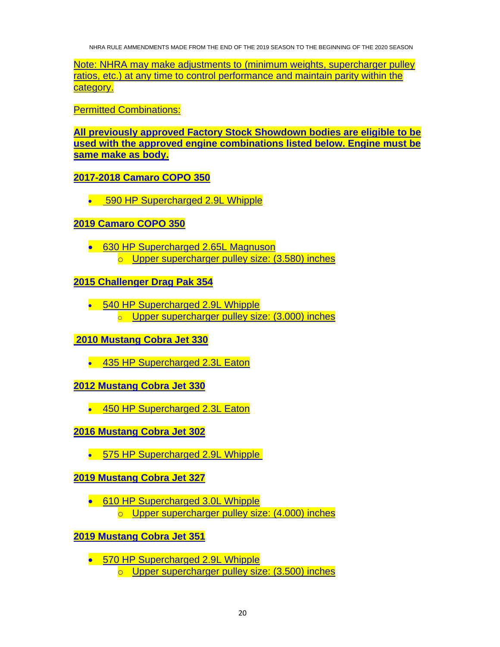Note: NHRA may make adjustments to (minimum weights, supercharger pulley ratios, etc.) at any time to control performance and maintain parity within the category.

Permitted Combinations:

**All previously approved Factory Stock Showdown bodies are eligible to be used with the approved engine combinations listed below. Engine must be same make as body.** 

**2017-2018 Camaro COPO 350**

• 590 HP Supercharged 2.9L Whipple

#### **2019 Camaro COPO 350**

• 630 HP Supercharged 2.65L Magnuson o Upper supercharger pulley size: (3.580) inches

#### **2015 Challenger Drag Pak 354**

• 540 HP Supercharged 2.9L Whipple o Upper supercharger pulley size: (3.000) inches

#### **2010 Mustang Cobra Jet 330**

• 435 HP Supercharged 2.3L Eaton

#### **2012 Mustang Cobra Jet 330**

• 450 HP Supercharged 2.3L Eaton

#### **2016 Mustang Cobra Jet 302**

• 575 HP Supercharged 2.9L Whipple

# **2019 Mustang Cobra Jet 327**

- 610 HP Supercharged 3.0L Whipple
	- o Upper supercharger pulley size: (4.000) inches

# **2019 Mustang Cobra Jet 351**

• 570 HP Supercharged 2.9L Whipple  $\circ$  Upper supercharger pulley size: (3.500) inches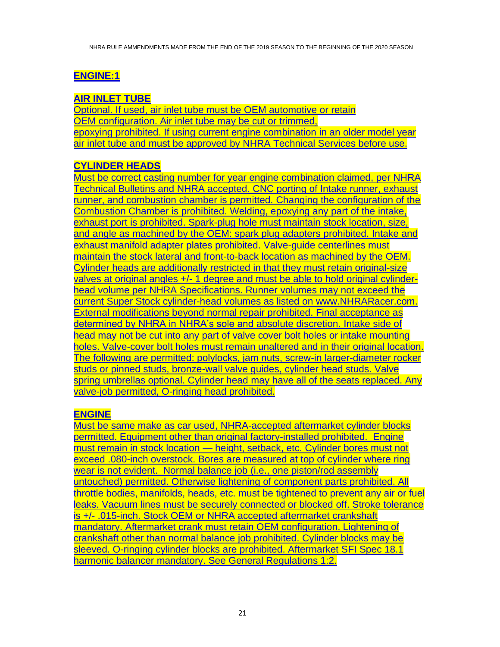# **ENGINE:1**

# **AIR INLET TUBE**

Optional. If used, air inlet tube must be OEM automotive or retain OEM configuration. Air inlet tube may be cut or trimmed, epoxying prohibited. If using current engine combination in an older model year air inlet tube and must be approved by NHRA Technical Services before use.

# **CYLINDER HEADS**

Must be correct casting number for year engine combination claimed, per NHRA Technical Bulletins and NHRA accepted. CNC porting of Intake runner, exhaust runner, and combustion chamber is permitted. Changing the configuration of the Combustion Chamber is prohibited. Welding, epoxying any part of the intake, exhaust port is prohibited. Spark-plug hole must maintain stock location, size, and angle as machined by the OEM: spark plug adapters prohibited. Intake and exhaust manifold adapter plates prohibited. Valve-guide centerlines must maintain the stock lateral and front-to-back location as machined by the OEM. Cylinder heads are additionally restricted in that they must retain original-size valves at original angles +/- 1 degree and must be able to hold original cylinderhead volume per NHRA Specifications. Runner volumes may not exceed the current Super Stock cylinder-head volumes as listed on [www.NHRARacer.com.](http://www.nhraracer.com/) External modifications beyond normal repair prohibited. Final acceptance as determined by NHRA in NHRA's sole and absolute discretion. Intake side of head may not be cut into any part of valve cover bolt holes or intake mounting holes. Valve-cover bolt holes must remain unaltered and in their original location. The following are permitted: polylocks, jam nuts, screw-in larger-diameter rocker studs or pinned studs, bronze-wall valve guides, cylinder head studs. Valve spring umbrellas optional. Cylinder head may have all of the seats replaced. Any valve-job permitted, O-ringing head prohibited.

# **ENGINE**

Must be same make as car used, NHRA-accepted aftermarket cylinder blocks permitted. Equipment other than original factory-installed prohibited. Engine must remain in stock location — height, setback, etc. Cylinder bores must not exceed .080-inch overstock. Bores are measured at top of cylinder where ring wear is not evident. Normal balance job (i.e., one piston/rod assembly untouched) permitted. Otherwise lightening of component parts prohibited. All throttle bodies, manifolds, heads, etc. must be tightened to prevent any air or fuel leaks. Vacuum lines must be securely connected or blocked off. Stroke tolerance is +/- .015-inch. Stock OEM or NHRA accepted aftermarket crankshaft mandatory. Aftermarket crank must retain OEM configuration. Lightening of crankshaft other than normal balance job prohibited. Cylinder blocks may be sleeved. O-ringing cylinder blocks are prohibited. Aftermarket SFI Spec 18.1 harmonic balancer mandatory. See General Regulations 1:2.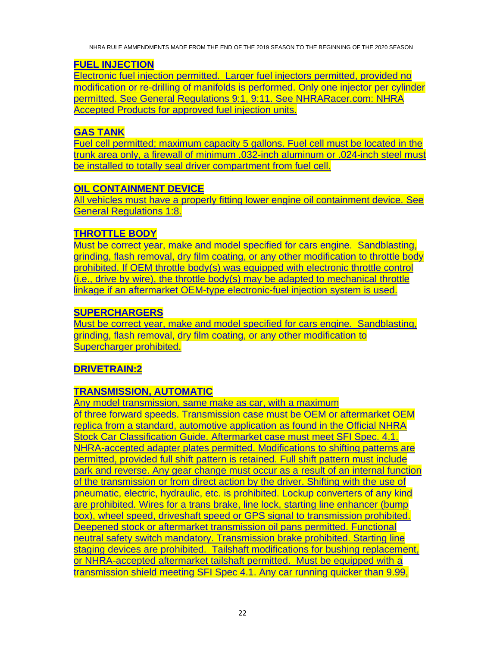## **FUEL INJECTION**

Electronic fuel injection permitted. Larger fuel injectors permitted, provided no modification or re-drilling of manifolds is performed. Only one injector per cylinder permitted. See General Regulations 9:1, 9:11. See NHRARacer.com: NHRA Accepted Products for approved fuel injection units.

## **GAS TANK**

Fuel cell permitted; maximum capacity 5 gallons. Fuel cell must be located in the trunk area only, a firewall of minimum .032-inch aluminum or .024-inch steel must be installed to totally seal driver compartment from fuel cell.

#### **OIL CONTAINMENT DEVICE**

All vehicles must have a properly fitting lower engine oil containment device. See General Regulations 1:8.

#### **THROTTLE BODY**

Must be correct year, make and model specified for cars engine. Sandblasting, grinding, flash removal, dry film coating, or any other modification to throttle body prohibited. If OEM throttle body(s) was equipped with electronic throttle control (i.e., drive by wire), the throttle body(s) may be adapted to mechanical throttle linkage if an aftermarket OEM-type electronic-fuel injection system is used.

#### **SUPERCHARGERS**

Must be correct year, make and model specified for cars engine. Sandblasting, grinding, flash removal, dry film coating, or any other modification to Supercharger prohibited.

# **DRIVETRAIN:2**

# **TRANSMISSION, AUTOMATIC**

Any model transmission, same make as car, with a maximum of three forward speeds. Transmission case must be OEM or aftermarket OEM replica from a standard, automotive application as found in the Official NHRA Stock Car Classification Guide. Aftermarket case must meet SFI Spec. 4.1. NHRA-accepted adapter plates permitted. Modifications to shifting patterns are permitted, provided full shift pattern is retained. Full shift pattern must include park and reverse. Any gear change must occur as a result of an internal function of the transmission or from direct action by the driver. Shifting with the use of pneumatic, electric, hydraulic, etc. is prohibited. Lockup converters of any kind are prohibited. Wires for a trans brake, line lock, starting line enhancer (bump box), wheel speed, driveshaft speed or GPS signal to transmission prohibited. Deepened stock or aftermarket transmission oil pans permitted. Functional neutral safety switch mandatory. Transmission brake prohibited. Starting line staging devices are prohibited. Tailshaft modifications for bushing replacement, or NHRA-accepted aftermarket tailshaft permitted. Must be equipped with a transmission shield meeting SFI Spec 4.1. Any car running quicker than 9.99,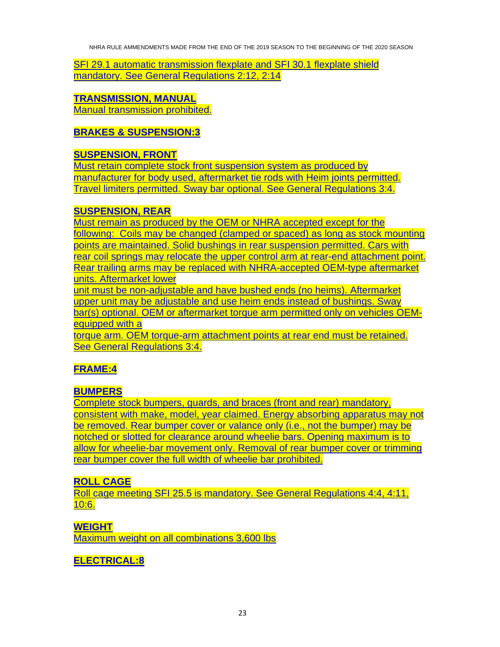SFI 29.1 automatic transmission flexplate and SFI 30.1 flexplate shield mandatory. See General Regulations 2:12, 2:14

**TRANSMISSION, MANUAL**  Manual transmission prohibited.

# **BRAKES & SUSPENSION:3**

## **SUSPENSION, FRONT**

Must retain complete stock front suspension system as produced by manufacturer for body used, aftermarket tie rods with Heim joints permitted. Travel limiters permitted. Sway bar optional. See General Regulations 3:4.

# **SUSPENSION, REAR**

Must remain as produced by the OEM or NHRA accepted except for the following: Coils may be changed (clamped or spaced) as long as stock mounting points are maintained. Solid bushings in rear suspension permitted. Cars with rear coil springs may relocate the upper control arm at rear-end attachment point. Rear trailing arms may be replaced with NHRA-accepted OEM-type aftermarket units. Aftermarket lower

unit must be non-adjustable and have bushed ends (no heims). Aftermarket upper unit may be adjustable and use heim ends instead of bushings. Sway bar(s) optional. OEM or aftermarket torque arm permitted only on vehicles OEMequipped with a

torque arm. OEM torque-arm attachment points at rear end must be retained. See General Regulations 3:4.

# **FRAME:4**

# **BUMPERS**

Complete stock bumpers, guards, and braces (front and rear) mandatory, consistent with make, model, year claimed. Energy absorbing apparatus may not be removed. Rear bumper cover or valance only (i.e., not the bumper) may be notched or slotted for clearance around wheelie bars. Opening maximum is to allow for wheelie-bar movement only. Removal of rear bumper cover or trimming rear bumper cover the full width of wheelie bar prohibited.

# **ROLL CAGE**

Roll cage meeting SFI 25.5 is mandatory. See General Regulations 4:4, 4:11, 10:6.

# **WEIGHT**

Maximum weight on all combinations 3,600 lbs

# **ELECTRICAL:8**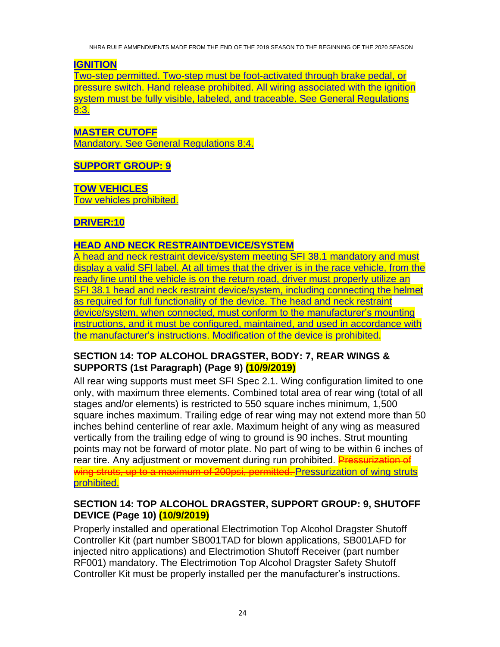# **IGNITION**

Two-step permitted. Two-step must be foot-activated through brake pedal, or pressure switch. Hand release prohibited. All wiring associated with the ignition system must be fully visible, labeled, and traceable. See General Regulations 8:3.

# **MASTER CUTOFF**

Mandatory. See General Regulations 8:4.

# **SUPPORT GROUP: 9**

# **TOW VEHICLES**

Tow vehicles prohibited.

# **DRIVER:10**

# **HEAD AND NECK RESTRAINTDEVICE/SYSTEM**

A head and neck restraint device/system meeting SFI 38.1 mandatory and must display a valid SFI label. At all times that the driver is in the race vehicle, from the ready line until the vehicle is on the return road, driver must properly utilize an SFI 38.1 head and neck restraint device/system, including connecting the helmet as required for full functionality of the device. The head and neck restraint device/system, when connected, must conform to the manufacturer's mounting instructions, and it must be configured, maintained, and used in accordance with the manufacturer's instructions. Modification of the device is prohibited.

# <span id="page-23-0"></span>**SECTION 14: TOP ALCOHOL DRAGSTER, BODY: 7, REAR WINGS & SUPPORTS (1st Paragraph) (Page 9) (10/9/2019)**

All rear wing supports must meet SFI Spec 2.1. Wing configuration limited to one only, with maximum three elements. Combined total area of rear wing (total of all stages and/or elements) is restricted to 550 square inches minimum, 1,500 square inches maximum. Trailing edge of rear wing may not extend more than 50 inches behind centerline of rear axle. Maximum height of any wing as measured vertically from the trailing edge of wing to ground is 90 inches. Strut mounting points may not be forward of motor plate. No part of wing to be within 6 inches of rear tire. Any adjustment or movement during run prohibited. Pressurization of wing struts, up to a maximum of 200psi, permitted. Pressurization of wing struts prohibited.

# <span id="page-23-1"></span>**SECTION 14: TOP ALCOHOL DRAGSTER, SUPPORT GROUP: 9, SHUTOFF DEVICE (Page 10) (10/9/2019)**

Properly installed and operational Electrimotion Top Alcohol Dragster Shutoff Controller Kit (part number SB001TAD for blown applications, SB001AFD for injected nitro applications) and Electrimotion Shutoff Receiver (part number RF001) mandatory. The Electrimotion Top Alcohol Dragster Safety Shutoff Controller Kit must be properly installed per the manufacturer's instructions.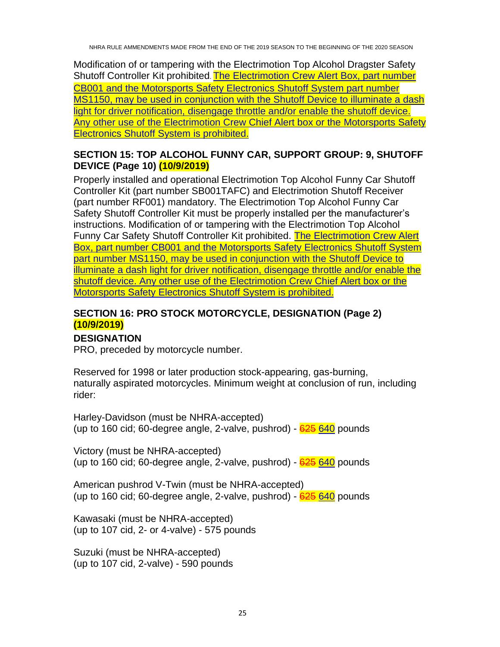Modification of or tampering with the Electrimotion Top Alcohol Dragster Safety Shutoff Controller Kit prohibited. The Electrimotion Crew Alert Box, part number CB001 and the Motorsports Safety Electronics Shutoff System part number MS1150, may be used in conjunction with the Shutoff Device to illuminate a dash light for driver notification, disengage throttle and/or enable the shutoff device. Any other use of the Electrimotion Crew Chief Alert box or the Motorsports Safety Electronics Shutoff System is prohibited.

# <span id="page-24-0"></span>**SECTION 15: TOP ALCOHOL FUNNY CAR, SUPPORT GROUP: 9, SHUTOFF DEVICE (Page 10) (10/9/2019)**

Properly installed and operational Electrimotion Top Alcohol Funny Car Shutoff Controller Kit (part number SB001TAFC) and Electrimotion Shutoff Receiver (part number RF001) mandatory. The Electrimotion Top Alcohol Funny Car Safety Shutoff Controller Kit must be properly installed per the manufacturer's instructions. Modification of or tampering with the Electrimotion Top Alcohol Funny Car Safety Shutoff Controller Kit prohibited. The Electrimotion Crew Alert Box, part number CB001 and the Motorsports Safety Electronics Shutoff System part number MS1150, may be used in conjunction with the Shutoff Device to illuminate a dash light for driver notification, disengage throttle and/or enable the shutoff device. Any other use of the Electrimotion Crew Chief Alert box or the Motorsports Safety Electronics Shutoff System is prohibited.

# <span id="page-24-1"></span>**SECTION 16: PRO STOCK MOTORCYCLE, DESIGNATION (Page 2) (10/9/2019)**

# **DESIGNATION**

PRO, preceded by motorcycle number.

Reserved for 1998 or later production stock-appearing, gas-burning, naturally aspirated motorcycles. Minimum weight at conclusion of run, including rider:

Harley-Davidson (must be NHRA-accepted) (up to 160 cid; 60-degree angle, 2-valve, pushrod) -  $625640$  pounds

Victory (must be NHRA-accepted) (up to 160 cid; 60-degree angle, 2-valve, pushrod) -  $625640$  pounds

American pushrod V-Twin (must be NHRA-accepted) (up to 160 cid; 60-degree angle, 2-valve, pushrod) -  $625640$  pounds

Kawasaki (must be NHRA-accepted) (up to 107 cid, 2- or 4-valve) - 575 pounds

Suzuki (must be NHRA-accepted) (up to 107 cid, 2-valve) - 590 pounds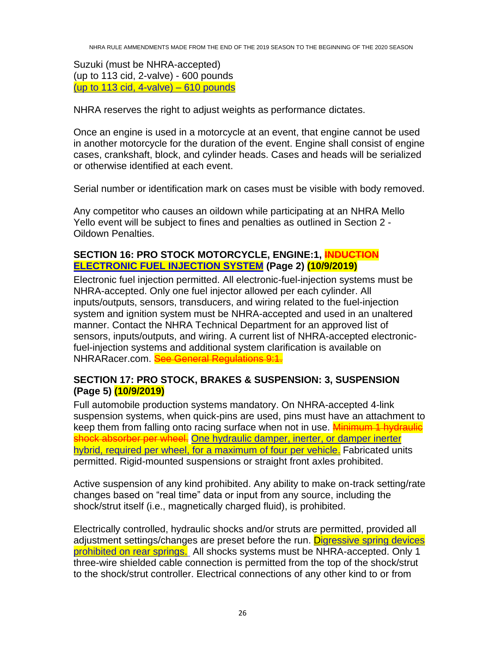Suzuki (must be NHRA-accepted) (up to 113 cid, 2-valve) - 600 pounds (up to 113 cid, 4-valve)  $-610$  pounds

NHRA reserves the right to adjust weights as performance dictates.

Once an engine is used in a motorcycle at an event, that engine cannot be used in another motorcycle for the duration of the event. Engine shall consist of engine cases, crankshaft, block, and cylinder heads. Cases and heads will be serialized or otherwise identified at each event.

Serial number or identification mark on cases must be visible with body removed.

Any competitor who causes an oildown while participating at an NHRA Mello Yello event will be subject to fines and penalties as outlined in Section 2 - Oildown Penalties.

# <span id="page-25-0"></span>**SECTION 16: PRO STOCK MOTORCYCLE, ENGINE:1, INDUCTION ELECTRONIC FUEL INJECTION SYSTEM (Page 2) (10/9/2019)**

Electronic fuel injection permitted. All electronic-fuel-injection systems must be NHRA-accepted. Only one fuel injector allowed per each cylinder. All inputs/outputs, sensors, transducers, and wiring related to the fuel-injection system and ignition system must be NHRA-accepted and used in an unaltered manner. Contact the NHRA Technical Department for an approved list of sensors, inputs/outputs, and wiring. A current list of NHRA-accepted electronicfuel-injection systems and additional system clarification is available on NHRARacer.com. See General Regulations 9:1.

#### <span id="page-25-1"></span>**SECTION 17: PRO STOCK, BRAKES & SUSPENSION: 3, SUSPENSION (Page 5) (10/9/2019)**

Full automobile production systems mandatory. On NHRA-accepted 4-link suspension systems, when quick-pins are used, pins must have an attachment to keep them from falling onto racing surface when not in use. **Minimum 1 hydraulic** shock absorber per wheel. One hydraulic damper, inerter, or damper inerter hybrid, required per wheel, for a maximum of four per vehicle. Fabricated units permitted. Rigid-mounted suspensions or straight front axles prohibited.

Active suspension of any kind prohibited. Any ability to make on-track setting/rate changes based on "real time" data or input from any source, including the shock/strut itself (i.e., magnetically charged fluid), is prohibited.

Electrically controlled, hydraulic shocks and/or struts are permitted, provided all adjustment settings/changes are preset before the run. Digressive spring devices prohibited on rear springs. All shocks systems must be NHRA-accepted. Only 1 three-wire shielded cable connection is permitted from the top of the shock/strut to the shock/strut controller. Electrical connections of any other kind to or from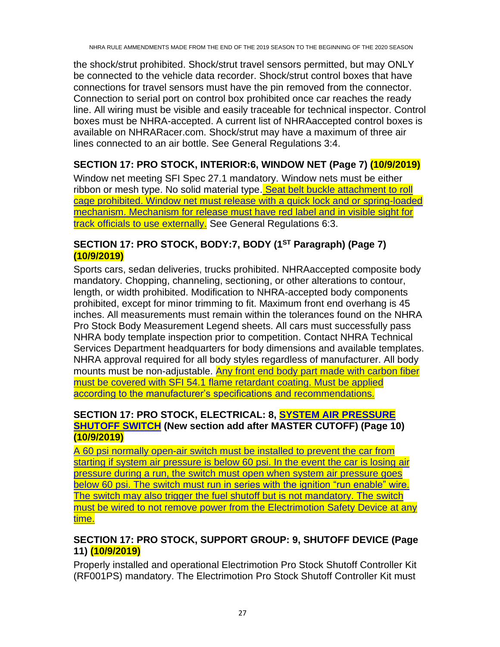the shock/strut prohibited. Shock/strut travel sensors permitted, but may ONLY be connected to the vehicle data recorder. Shock/strut control boxes that have connections for travel sensors must have the pin removed from the connector. Connection to serial port on control box prohibited once car reaches the ready line. All wiring must be visible and easily traceable for technical inspector. Control boxes must be NHRA-accepted. A current list of NHRAaccepted control boxes is available on NHRARacer.com. Shock/strut may have a maximum of three air lines connected to an air bottle. See General Regulations 3:4.

# <span id="page-26-0"></span>**SECTION 17: PRO STOCK, INTERIOR:6, WINDOW NET (Page 7) (10/9/2019)**

Window net meeting SFI Spec 27.1 mandatory. Window nets must be either ribbon or mesh type. No solid material type. Seat belt buckle attachment to roll cage prohibited. Window net must release with a quick lock and or spring-loaded mechanism. Mechanism for release must have red label and in visible sight for track officials to use externally. See General Regulations 6:3.

# <span id="page-26-1"></span>**SECTION 17: PRO STOCK, BODY:7, BODY (1ST Paragraph) (Page 7) (10/9/2019)**

Sports cars, sedan deliveries, trucks prohibited. NHRAaccepted composite body mandatory. Chopping, channeling, sectioning, or other alterations to contour, length, or width prohibited. Modification to NHRA-accepted body components prohibited, except for minor trimming to fit. Maximum front end overhang is 45 inches. All measurements must remain within the tolerances found on the NHRA Pro Stock Body Measurement Legend sheets. All cars must successfully pass NHRA body template inspection prior to competition. Contact NHRA Technical Services Department headquarters for body dimensions and available templates. NHRA approval required for all body styles regardless of manufacturer. All body mounts must be non-adjustable. Any front end body part made with carbon fiber must be covered with SFI 54.1 flame retardant coating. Must be applied according to the manufacturer's specifications and recommendations.

# <span id="page-26-2"></span>**SECTION 17: PRO STOCK, ELECTRICAL: 8, SYSTEM AIR PRESSURE SHUTOFF SWITCH (New section add after MASTER CUTOFF) (Page 10) (10/9/2019)**

A 60 psi normally open-air switch must be installed to prevent the car from starting if system air pressure is below 60 psi. In the event the car is losing air pressure during a run, the switch must open when system air pressure goes below 60 psi. The switch must run in series with the ignition "run enable" wire. The switch may also trigger the fuel shutoff but is not mandatory. The switch must be wired to not remove power from the Electrimotion Safety Device at any time.

# <span id="page-26-3"></span>**SECTION 17: PRO STOCK, SUPPORT GROUP: 9, SHUTOFF DEVICE (Page 11) (10/9/2019)**

Properly installed and operational Electrimotion Pro Stock Shutoff Controller Kit (RF001PS) mandatory. The Electrimotion Pro Stock Shutoff Controller Kit must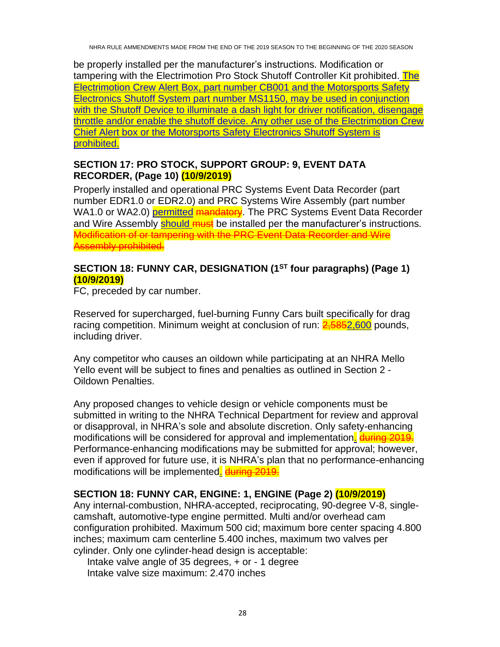be properly installed per the manufacturer's instructions. Modification or tampering with the Electrimotion Pro Stock Shutoff Controller Kit prohibited. The Electrimotion Crew Alert Box, part number CB001 and the Motorsports Safety Electronics Shutoff System part number MS1150, may be used in conjunction with the Shutoff Device to illuminate a dash light for driver notification, disengage throttle and/or enable the shutoff device. Any other use of the Electrimotion Crew Chief Alert box or the Motorsports Safety Electronics Shutoff System is prohibited.

# <span id="page-27-0"></span>**SECTION 17: PRO STOCK, SUPPORT GROUP: 9, EVENT DATA RECORDER, (Page 10) (10/9/2019)**

Properly installed and operational PRC Systems Event Data Recorder (part number EDR1.0 or EDR2.0) and PRC Systems Wire Assembly (part number WA1.0 or WA2.0) permitted mandatory. The PRC Systems Event Data Recorder and Wire Assembly **should must** be installed per the manufacturer's instructions. Modification of or tampering with the PRC Event Data Recorder and Wire Assembly prohibited.

# <span id="page-27-1"></span>**SECTION 18: FUNNY CAR, DESIGNATION (1ST four paragraphs) (Page 1) (10/9/2019)**

FC, preceded by car number.

Reserved for supercharged, fuel-burning Funny Cars built specifically for drag racing competition. Minimum weight at conclusion of run: 2,5852,600 pounds, including driver.

Any competitor who causes an oildown while participating at an NHRA Mello Yello event will be subject to fines and penalties as outlined in Section 2 - Oildown Penalties.

Any proposed changes to vehicle design or vehicle components must be submitted in writing to the NHRA Technical Department for review and approval or disapproval, in NHRA's sole and absolute discretion. Only safety-enhancing modifications will be considered for approval and implementation. during 2019. Performance-enhancing modifications may be submitted for approval; however, even if approved for future use, it is NHRA's plan that no performance-enhancing modifications will be implemented. during 2019.

# <span id="page-27-2"></span>**SECTION 18: FUNNY CAR, ENGINE: 1, ENGINE (Page 2) (10/9/2019)**

Any internal-combustion, NHRA-accepted, reciprocating, 90-degree V-8, singlecamshaft, automotive-type engine permitted. Multi and/or overhead cam configuration prohibited. Maximum 500 cid; maximum bore center spacing 4.800 inches; maximum cam centerline 5.400 inches, maximum two valves per cylinder. Only one cylinder-head design is acceptable:

 Intake valve angle of 35 degrees, + or - 1 degree Intake valve size maximum: 2.470 inches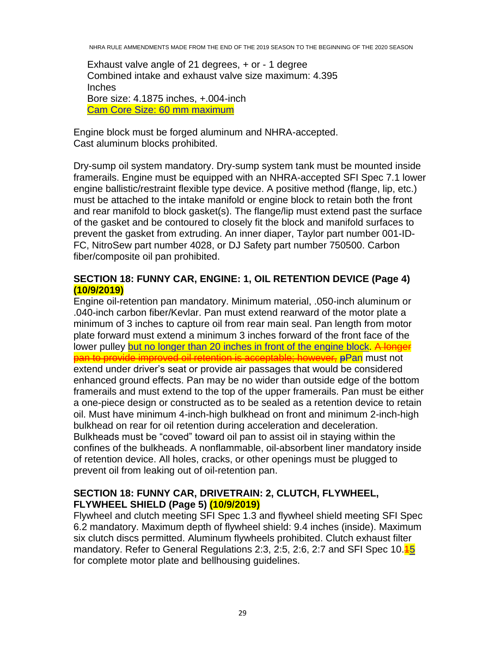Exhaust valve angle of 21 degrees, + or - 1 degree Combined intake and exhaust valve size maximum: 4.395 Inches Bore size: 4.1875 inches, +.004-inch Cam Core Size: 60 mm maximum

Engine block must be forged aluminum and NHRA-accepted. Cast aluminum blocks prohibited.

Dry-sump oil system mandatory. Dry-sump system tank must be mounted inside framerails. Engine must be equipped with an NHRA-accepted SFI Spec 7.1 lower engine ballistic/restraint flexible type device. A positive method (flange, lip, etc.) must be attached to the intake manifold or engine block to retain both the front and rear manifold to block gasket(s). The flange/lip must extend past the surface of the gasket and be contoured to closely fit the block and manifold surfaces to prevent the gasket from extruding. An inner diaper, Taylor part number 001-ID-FC, NitroSew part number 4028, or DJ Safety part number 750500. Carbon fiber/composite oil pan prohibited.

# <span id="page-28-0"></span>**SECTION 18: FUNNY CAR, ENGINE: 1, OIL RETENTION DEVICE (Page 4) (10/9/2019)**

Engine oil-retention pan mandatory. Minimum material, .050-inch aluminum or .040-inch carbon fiber/Kevlar. Pan must extend rearward of the motor plate a minimum of 3 inches to capture oil from rear main seal. Pan length from motor plate forward must extend a minimum 3 inches forward of the front face of the lower pulley but no longer than 20 inches in front of the engine block. A longer pan to provide improved oil retention is acceptable; however, pPan must not extend under driver's seat or provide air passages that would be considered enhanced ground effects. Pan may be no wider than outside edge of the bottom framerails and must extend to the top of the upper framerails. Pan must be either a one-piece design or constructed as to be sealed as a retention device to retain oil. Must have minimum 4-inch-high bulkhead on front and minimum 2-inch-high bulkhead on rear for oil retention during acceleration and deceleration. Bulkheads must be "coved" toward oil pan to assist oil in staying within the confines of the bulkheads. A nonflammable, oil-absorbent liner mandatory inside of retention device. All holes, cracks, or other openings must be plugged to prevent oil from leaking out of oil-retention pan.

# <span id="page-28-1"></span>**SECTION 18: FUNNY CAR, DRIVETRAIN: 2, CLUTCH, FLYWHEEL, FLYWHEEL SHIELD (Page 5) (10/9/2019)**

Flywheel and clutch meeting SFI Spec 1.3 and flywheel shield meeting SFI Spec 6.2 mandatory. Maximum depth of flywheel shield: 9.4 inches (inside). Maximum six clutch discs permitted. Aluminum flywheels prohibited. Clutch exhaust filter mandatory. Refer to General Regulations 2:3, 2:5, 2:6, 2:7 and SFI Spec 10.<sup>45</sup> for complete motor plate and bellhousing guidelines.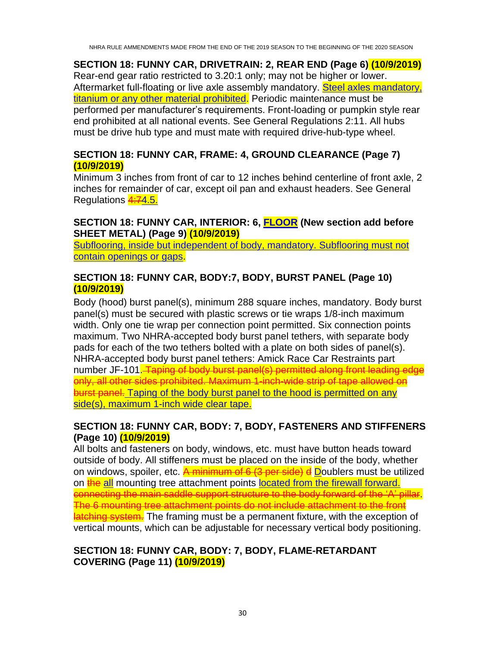<span id="page-29-0"></span>**SECTION 18: FUNNY CAR, DRIVETRAIN: 2, REAR END (Page 6) (10/9/2019)** Rear-end gear ratio restricted to 3.20:1 only; may not be higher or lower. Aftermarket full-floating or live axle assembly mandatory. Steel axles mandatory, titanium or any other material prohibited. Periodic maintenance must be performed per manufacturer's requirements. Front-loading or pumpkin style rear end prohibited at all national events. See General Regulations 2:11. All hubs must be drive hub type and must mate with required drive-hub-type wheel.

# <span id="page-29-1"></span>**SECTION 18: FUNNY CAR, FRAME: 4, GROUND CLEARANCE (Page 7) (10/9/2019)**

Minimum 3 inches from front of car to 12 inches behind centerline of front axle, 2 inches for remainder of car, except oil pan and exhaust headers. See General Regulations 4:74.5.

## <span id="page-29-2"></span>**SECTION 18: FUNNY CAR, INTERIOR: 6, FLOOR (New section add before SHEET METAL) (Page 9) (10/9/2019)**

Subflooring, inside but independent of body, mandatory. Subflooring must not contain openings or gaps.

# <span id="page-29-3"></span>**SECTION 18: FUNNY CAR, BODY:7, BODY, BURST PANEL (Page 10) (10/9/2019)**

Body (hood) burst panel(s), minimum 288 square inches, mandatory. Body burst panel(s) must be secured with plastic screws or tie wraps 1/8-inch maximum width. Only one tie wrap per connection point permitted. Six connection points maximum. Two NHRA-accepted body burst panel tethers, with separate body pads for each of the two tethers bolted with a plate on both sides of panel(s). NHRA-accepted body burst panel tethers: Amick Race Car Restraints part number JF-101. Taping of body burst panel(s) permitted along front leading edge only, all other sides prohibited. Maximum 1-inch-wide strip of tape allowed on burst panel. Taping of the body burst panel to the hood is permitted on any side(s), maximum 1-inch wide clear tape.

# <span id="page-29-4"></span>**SECTION 18: FUNNY CAR, BODY: 7, BODY, FASTENERS AND STIFFENERS (Page 10) (10/9/2019)**

All bolts and fasteners on body, windows, etc. must have button heads toward outside of body. All stiffeners must be placed on the inside of the body, whether on windows, spoiler, etc. **A minimum of 6 (3 per side) d** Doublers must be utilized on the all mounting tree attachment points located from the firewall forward. connecting the main saddle support structure to the body forward of the 'A' pillar. The 6 mounting tree attachment points do not include attachment to the front latching system. The framing must be a permanent fixture, with the exception of vertical mounts, which can be adjustable for necessary vertical body positioning.

# <span id="page-29-5"></span>**SECTION 18: FUNNY CAR, BODY: 7, BODY, FLAME-RETARDANT COVERING (Page 11) (10/9/2019)**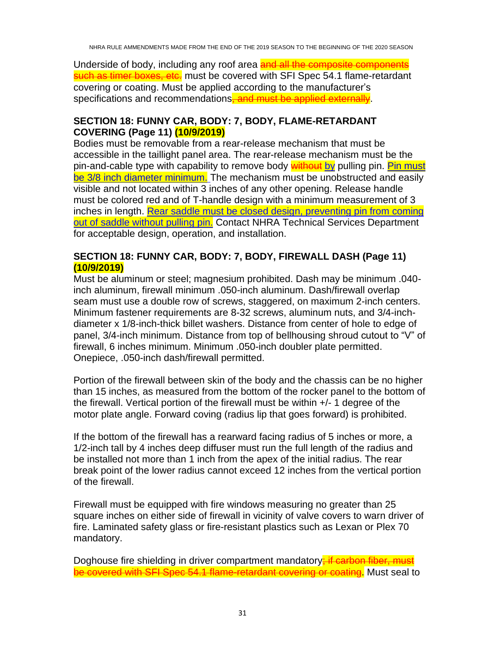Underside of body, including any roof area and all the composite components such as timer boxes, etc. must be covered with SFI Spec 54.1 flame-retardant covering or coating. Must be applied according to the manufacturer's specifications and recommendations<del>, and must be applied externally</del>.

## <span id="page-30-0"></span>**SECTION 18: FUNNY CAR, BODY: 7, BODY, FLAME-RETARDANT COVERING (Page 11) (10/9/2019)**

Bodies must be removable from a rear-release mechanism that must be accessible in the taillight panel area. The rear-release mechanism must be the pin-and-cable type with capability to remove body without by pulling pin. Pin must be 3/8 inch diameter minimum. The mechanism must be unobstructed and easily visible and not located within 3 inches of any other opening. Release handle must be colored red and of T-handle design with a minimum measurement of 3 inches in length. Rear saddle must be closed design, preventing pin from coming out of saddle without pulling pin. Contact NHRA Technical Services Department for acceptable design, operation, and installation.

# <span id="page-30-1"></span>**SECTION 18: FUNNY CAR, BODY: 7, BODY, FIREWALL DASH (Page 11) (10/9/2019)**

Must be aluminum or steel; magnesium prohibited. Dash may be minimum .040 inch aluminum, firewall minimum .050-inch aluminum. Dash/firewall overlap seam must use a double row of screws, staggered, on maximum 2-inch centers. Minimum fastener requirements are 8-32 screws, aluminum nuts, and 3/4-inchdiameter x 1/8-inch-thick billet washers. Distance from center of hole to edge of panel, 3/4-inch minimum. Distance from top of bellhousing shroud cutout to "V" of firewall, 6 inches minimum. Minimum .050-inch doubler plate permitted. Onepiece, .050-inch dash/firewall permitted.

Portion of the firewall between skin of the body and the chassis can be no higher than 15 inches, as measured from the bottom of the rocker panel to the bottom of the firewall. Vertical portion of the firewall must be within +/- 1 degree of the motor plate angle. Forward coving (radius lip that goes forward) is prohibited.

If the bottom of the firewall has a rearward facing radius of 5 inches or more, a 1/2-inch tall by 4 inches deep diffuser must run the full length of the radius and be installed not more than 1 inch from the apex of the initial radius. The rear break point of the lower radius cannot exceed 12 inches from the vertical portion of the firewall.

Firewall must be equipped with fire windows measuring no greater than 25 square inches on either side of firewall in vicinity of valve covers to warn driver of fire. Laminated safety glass or fire-resistant plastics such as Lexan or Plex 70 mandatory.

Doghouse fire shielding in driver compartment mandatory<del>; if carbon fiber, must</del> be covered with SFI Spec 54.1 flame-retardant covering or coating. Must seal to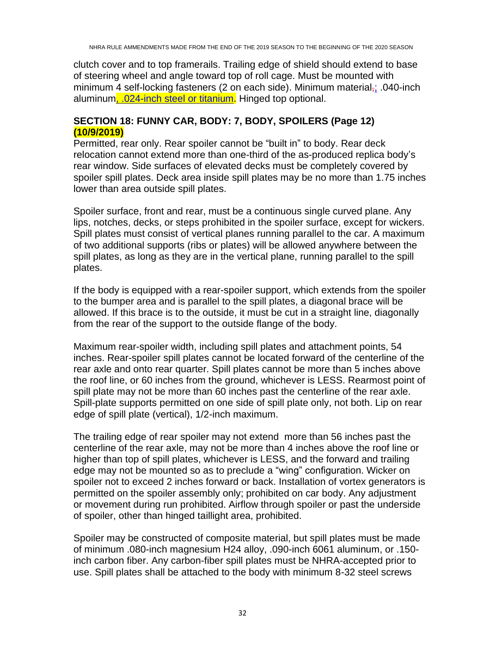clutch cover and to top framerails. Trailing edge of shield should extend to base of steering wheel and angle toward top of roll cage. Must be mounted with minimum 4 self-locking fasteners (2 on each side). Minimum material, 040-inch aluminum, .024-inch steel or titanium. Hinged top optional.

# <span id="page-31-0"></span>**SECTION 18: FUNNY CAR, BODY: 7, BODY, SPOILERS (Page 12) (10/9/2019)**

Permitted, rear only. Rear spoiler cannot be "built in" to body. Rear deck relocation cannot extend more than one-third of the as-produced replica body's rear window. Side surfaces of elevated decks must be completely covered by spoiler spill plates. Deck area inside spill plates may be no more than 1.75 inches lower than area outside spill plates.

Spoiler surface, front and rear, must be a continuous single curved plane. Any lips, notches, decks, or steps prohibited in the spoiler surface, except for wickers. Spill plates must consist of vertical planes running parallel to the car. A maximum of two additional supports (ribs or plates) will be allowed anywhere between the spill plates, as long as they are in the vertical plane, running parallel to the spill plates.

If the body is equipped with a rear-spoiler support, which extends from the spoiler to the bumper area and is parallel to the spill plates, a diagonal brace will be allowed. If this brace is to the outside, it must be cut in a straight line, diagonally from the rear of the support to the outside flange of the body.

Maximum rear-spoiler width, including spill plates and attachment points, 54 inches. Rear-spoiler spill plates cannot be located forward of the centerline of the rear axle and onto rear quarter. Spill plates cannot be more than 5 inches above the roof line, or 60 inches from the ground, whichever is LESS. Rearmost point of spill plate may not be more than 60 inches past the centerline of the rear axle. Spill-plate supports permitted on one side of spill plate only, not both. Lip on rear edge of spill plate (vertical), 1/2-inch maximum.

The trailing edge of rear spoiler may not extend more than 56 inches past the centerline of the rear axle, may not be more than 4 inches above the roof line or higher than top of spill plates, whichever is LESS, and the forward and trailing edge may not be mounted so as to preclude a "wing" configuration. Wicker on spoiler not to exceed 2 inches forward or back. Installation of vortex generators is permitted on the spoiler assembly only; prohibited on car body. Any adjustment or movement during run prohibited. Airflow through spoiler or past the underside of spoiler, other than hinged taillight area, prohibited.

Spoiler may be constructed of composite material, but spill plates must be made of minimum .080-inch magnesium H24 alloy, .090-inch 6061 aluminum, or .150 inch carbon fiber. Any carbon-fiber spill plates must be NHRA-accepted prior to use. Spill plates shall be attached to the body with minimum 8-32 steel screws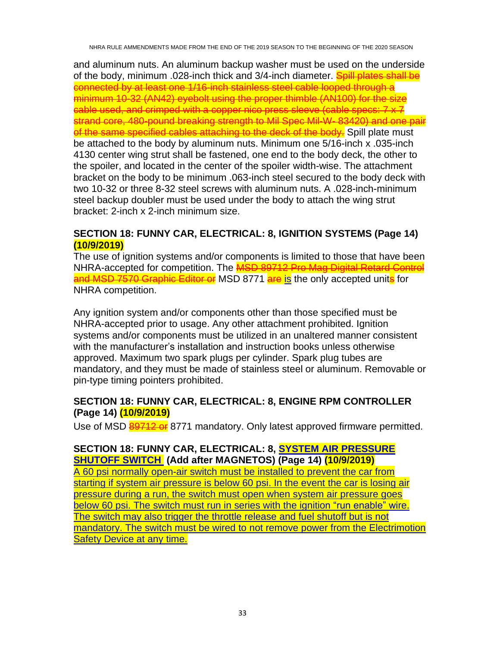and aluminum nuts. An aluminum backup washer must be used on the underside of the body, minimum .028-inch thick and 3/4-inch diameter. **Spill plates shall be** connected by at least one 1/16-inch stainless steel cable looped through a minimum 10-32 (AN42) eyebolt using the proper thimble (AN100) for the size cable used, and crimped with a copper nico press sleeve (cable specs: 7 x 7 strand core, 480-pound breaking strength to Mil Spec Mil-W- 83420) and one pair of the same specified cables attaching to the deck of the body. Spill plate must be attached to the body by aluminum nuts. Minimum one 5/16-inch x .035-inch 4130 center wing strut shall be fastened, one end to the body deck, the other to the spoiler, and located in the center of the spoiler width-wise. The attachment bracket on the body to be minimum .063-inch steel secured to the body deck with two 10-32 or three 8-32 steel screws with aluminum nuts. A .028-inch-minimum steel backup doubler must be used under the body to attach the wing strut bracket: 2-inch x 2-inch minimum size.

# <span id="page-32-0"></span>**SECTION 18: FUNNY CAR, ELECTRICAL: 8, IGNITION SYSTEMS (Page 14) (10/9/2019)**

The use of ignition systems and/or components is limited to those that have been NHRA-accepted for competition. The **MSD 89712 Pro Mag Digital Retard Control** and MSD 7570 Graphic Editor or MSD 8771 are is the only accepted units for NHRA competition.

Any ignition system and/or components other than those specified must be NHRA-accepted prior to usage. Any other attachment prohibited. Ignition systems and/or components must be utilized in an unaltered manner consistent with the manufacturer's installation and instruction books unless otherwise approved. Maximum two spark plugs per cylinder. Spark plug tubes are mandatory, and they must be made of stainless steel or aluminum. Removable or pin-type timing pointers prohibited.

# <span id="page-32-1"></span>**SECTION 18: FUNNY CAR, ELECTRICAL: 8, ENGINE RPM CONTROLLER (Page 14) (10/9/2019)**

Use of MSD 89712 or 8771 mandatory. Only latest approved firmware permitted.

# <span id="page-32-2"></span>**SECTION 18: FUNNY CAR, ELECTRICAL: 8, SYSTEM AIR PRESSURE SHUTOFF SWITCH (Add after MAGNETOS) (Page 14) (10/9/2019)**

A 60 psi normally open-air switch must be installed to prevent the car from starting if system air pressure is below 60 psi. In the event the car is losing air pressure during a run, the switch must open when system air pressure goes below 60 psi. The switch must run in series with the ignition "run enable" wire. The switch may also trigger the throttle release and fuel shutoff but is not mandatory. The switch must be wired to not remove power from the Electrimotion Safety Device at any time.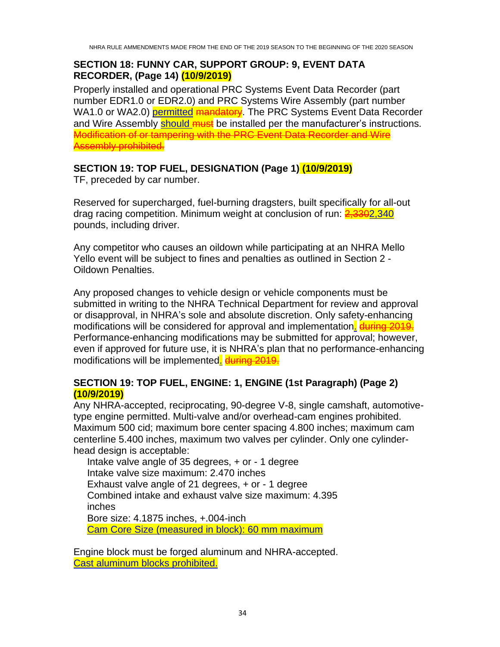# <span id="page-33-0"></span>**SECTION 18: FUNNY CAR, SUPPORT GROUP: 9, EVENT DATA RECORDER, (Page 14) (10/9/2019)**

Properly installed and operational PRC Systems Event Data Recorder (part number EDR1.0 or EDR2.0) and PRC Systems Wire Assembly (part number WA1.0 or WA2.0) permitted mandatory. The PRC Systems Event Data Recorder and Wire Assembly **should must** be installed per the manufacturer's instructions. Modification of or tampering with the PRC Event Data Recorder and Wire Assembly prohibited.

# <span id="page-33-1"></span>**SECTION 19: TOP FUEL, DESIGNATION (Page 1) (10/9/2019)**

TF, preceded by car number.

Reserved for supercharged, fuel-burning dragsters, built specifically for all-out drag racing competition. Minimum weight at conclusion of run: 2,3302,340 pounds, including driver.

Any competitor who causes an oildown while participating at an NHRA Mello Yello event will be subject to fines and penalties as outlined in Section 2 - Oildown Penalties.

Any proposed changes to vehicle design or vehicle components must be submitted in writing to the NHRA Technical Department for review and approval or disapproval, in NHRA's sole and absolute discretion. Only safety-enhancing modifications will be considered for approval and implementation. **during 2019.** Performance-enhancing modifications may be submitted for approval; however, even if approved for future use, it is NHRA's plan that no performance-enhancing modifications will be implemented. during 2019.

# <span id="page-33-2"></span>**SECTION 19: TOP FUEL, ENGINE: 1, ENGINE (1st Paragraph) (Page 2) (10/9/2019)**

Any NHRA-accepted, reciprocating, 90-degree V-8, single camshaft, automotivetype engine permitted. Multi-valve and/or overhead-cam engines prohibited. Maximum 500 cid; maximum bore center spacing 4.800 inches; maximum cam centerline 5.400 inches, maximum two valves per cylinder. Only one cylinderhead design is acceptable:

 Intake valve angle of 35 degrees, + or - 1 degree Intake valve size maximum: 2.470 inches Exhaust valve angle of 21 degrees, + or - 1 degree Combined intake and exhaust valve size maximum: 4.395 inches Bore size: 4.1875 inches, +.004-inch Cam Core Size (measured in block): 60 mm maximum

Engine block must be forged aluminum and NHRA-accepted. Cast aluminum blocks prohibited.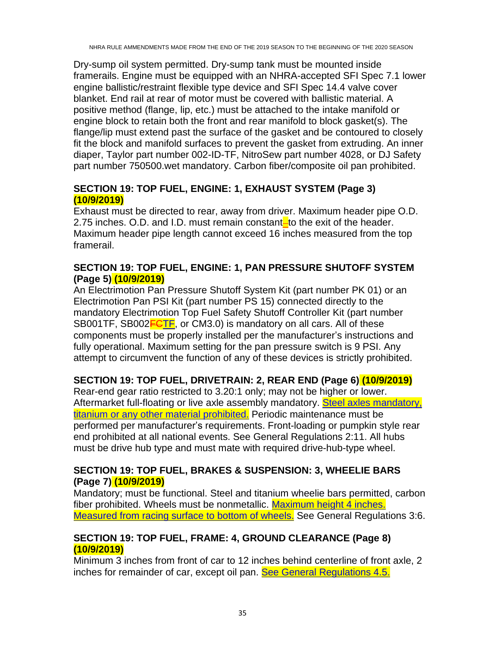Dry-sump oil system permitted. Dry-sump tank must be mounted inside framerails. Engine must be equipped with an NHRA-accepted SFI Spec 7.1 lower engine ballistic/restraint flexible type device and SFI Spec 14.4 valve cover blanket. End rail at rear of motor must be covered with ballistic material. A positive method (flange, lip, etc.) must be attached to the intake manifold or engine block to retain both the front and rear manifold to block gasket(s). The flange/lip must extend past the surface of the gasket and be contoured to closely fit the block and manifold surfaces to prevent the gasket from extruding. An inner diaper, Taylor part number 002-ID-TF, NitroSew part number 4028, or DJ Safety part number 750500.wet mandatory. Carbon fiber/composite oil pan prohibited.

# <span id="page-34-0"></span>**SECTION 19: TOP FUEL, ENGINE: 1, EXHAUST SYSTEM (Page 3) (10/9/2019)**

Exhaust must be directed to rear, away from driver. Maximum header pipe O.D. 2.75 inches. O.D. and I.D. must remain constant—to the exit of the header. Maximum header pipe length cannot exceed 16 inches measured from the top framerail.

# <span id="page-34-1"></span>**SECTION 19: TOP FUEL, ENGINE: 1, PAN PRESSURE SHUTOFF SYSTEM (Page 5) (10/9/2019)**

An Electrimotion Pan Pressure Shutoff System Kit (part number PK 01) or an Electrimotion Pan PSI Kit (part number PS 15) connected directly to the mandatory Electrimotion Top Fuel Safety Shutoff Controller Kit (part number SB001TF, SB002FGTF, or CM3.0) is mandatory on all cars. All of these components must be properly installed per the manufacturer's instructions and fully operational. Maximum setting for the pan pressure switch is 9 PSI. Any attempt to circumvent the function of any of these devices is strictly prohibited.

# <span id="page-34-2"></span>**SECTION 19: TOP FUEL, DRIVETRAIN: 2, REAR END (Page 6) (10/9/2019)**

Rear-end gear ratio restricted to 3.20:1 only; may not be higher or lower. Aftermarket full-floating or live axle assembly mandatory. Steel axles mandatory, titanium or any other material prohibited. Periodic maintenance must be performed per manufacturer's requirements. Front-loading or pumpkin style rear end prohibited at all national events. See General Regulations 2:11. All hubs must be drive hub type and must mate with required drive-hub-type wheel.

# <span id="page-34-3"></span>**SECTION 19: TOP FUEL, BRAKES & SUSPENSION: 3, WHEELIE BARS (Page 7) (10/9/2019)**

Mandatory; must be functional. Steel and titanium wheelie bars permitted, carbon fiber prohibited. Wheels must be nonmetallic. Maximum height 4 inches. Measured from racing surface to bottom of wheels. See General Regulations 3:6.

# <span id="page-34-4"></span>**SECTION 19: TOP FUEL, FRAME: 4, GROUND CLEARANCE (Page 8) (10/9/2019)**

Minimum 3 inches from front of car to 12 inches behind centerline of front axle, 2 inches for remainder of car, except oil pan. See General Regulations 4.5.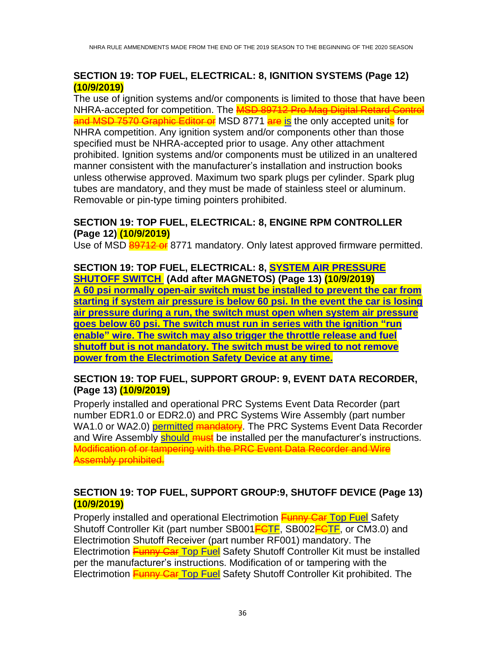# <span id="page-35-0"></span>**SECTION 19: TOP FUEL, ELECTRICAL: 8, IGNITION SYSTEMS (Page 12) (10/9/2019)**

The use of ignition systems and/or components is limited to those that have been NHRA-accepted for competition. The **MSD 89712 Pro Mag Digital Retard Control** and MSD 7570 Graphic Editor or MSD 8771 are is the only accepted units for NHRA competition. Any ignition system and/or components other than those specified must be NHRA-accepted prior to usage. Any other attachment prohibited. Ignition systems and/or components must be utilized in an unaltered manner consistent with the manufacturer's installation and instruction books unless otherwise approved. Maximum two spark plugs per cylinder. Spark plug tubes are mandatory, and they must be made of stainless steel or aluminum. Removable or pin-type timing pointers prohibited.

#### <span id="page-35-1"></span>**SECTION 19: TOP FUEL, ELECTRICAL: 8, ENGINE RPM CONTROLLER (Page 12) (10/9/2019)**

Use of MSD 89712 or 8771 mandatory. Only latest approved firmware permitted.

<span id="page-35-2"></span>**SECTION 19: TOP FUEL, ELECTRICAL: 8, SYSTEM AIR PRESSURE SHUTOFF SWITCH (Add after MAGNETOS) (Page 13) (10/9/2019) A 60 psi normally open-air switch must be installed to prevent the car from starting if system air pressure is below 60 psi. In the event the car is losing air pressure during a run, the switch must open when system air pressure goes below 60 psi. The switch must run in series with the ignition "run enable" wire. The switch may also trigger the throttle release and fuel shutoff but is not mandatory. The switch must be wired to not remove power from the Electrimotion Safety Device at any time.**

# <span id="page-35-3"></span>**SECTION 19: TOP FUEL, SUPPORT GROUP: 9, EVENT DATA RECORDER, (Page 13) (10/9/2019)**

Properly installed and operational PRC Systems Event Data Recorder (part number EDR1.0 or EDR2.0) and PRC Systems Wire Assembly (part number WA1.0 or WA2.0) permitted mandatory. The PRC Systems Event Data Recorder and Wire Assembly **should must** be installed per the manufacturer's instructions. Modification of or tampering with the PRC Event Data Recorder and Wire Assembly prohibited.

# <span id="page-35-4"></span>**SECTION 19: TOP FUEL, SUPPORT GROUP:9, SHUTOFF DEVICE (Page 13) (10/9/2019)**

Properly installed and operational Electrimotion **Funny Car Top Fuel** Safety Shutoff Controller Kit (part number SB001FCTF, SB002FCTF, or CM3.0) and Electrimotion Shutoff Receiver (part number RF001) mandatory. The Electrimotion **Funny Car Top Fuel** Safety Shutoff Controller Kit must be installed per the manufacturer's instructions. Modification of or tampering with the Electrimotion **Funny Car Top Fuel** Safety Shutoff Controller Kit prohibited. The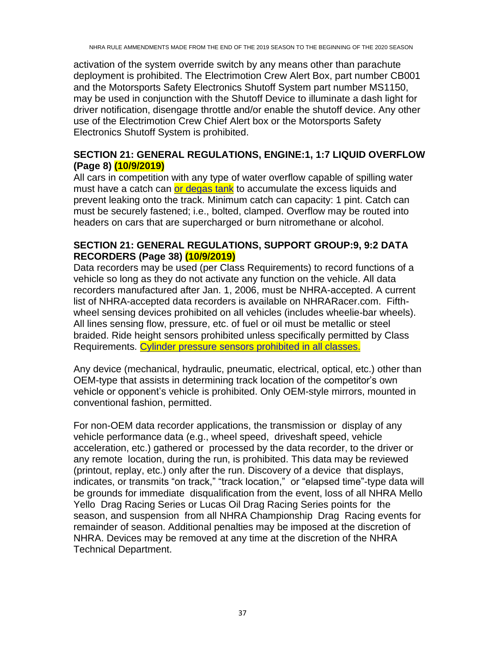activation of the system override switch by any means other than parachute deployment is prohibited. The Electrimotion Crew Alert Box, part number CB001 and the Motorsports Safety Electronics Shutoff System part number MS1150, may be used in conjunction with the Shutoff Device to illuminate a dash light for driver notification, disengage throttle and/or enable the shutoff device. Any other use of the Electrimotion Crew Chief Alert box or the Motorsports Safety Electronics Shutoff System is prohibited.

# <span id="page-36-0"></span>**SECTION 21: GENERAL REGULATIONS, ENGINE:1, 1:7 LIQUID OVERFLOW (Page 8) (10/9/2019)**

All cars in competition with any type of water overflow capable of spilling water must have a catch can or degas tank to accumulate the excess liquids and prevent leaking onto the track. Minimum catch can capacity: 1 pint. Catch can must be securely fastened; i.e., bolted, clamped. Overflow may be routed into headers on cars that are supercharged or burn nitromethane or alcohol.

#### <span id="page-36-1"></span>**SECTION 21: GENERAL REGULATIONS, SUPPORT GROUP:9, 9:2 DATA RECORDERS (Page 38) (10/9/2019)**

Data recorders may be used (per Class Requirements) to record functions of a vehicle so long as they do not activate any function on the vehicle. All data recorders manufactured after Jan. 1, 2006, must be NHRA-accepted. A current list of NHRA-accepted data recorders is available on NHRARacer.com. Fifthwheel sensing devices prohibited on all vehicles (includes wheelie-bar wheels). All lines sensing flow, pressure, etc. of fuel or oil must be metallic or steel braided. Ride height sensors prohibited unless specifically permitted by Class Requirements. Cylinder pressure sensors prohibited in all classes.

Any device (mechanical, hydraulic, pneumatic, electrical, optical, etc.) other than OEM-type that assists in determining track location of the competitor's own vehicle or opponent's vehicle is prohibited. Only OEM-style mirrors, mounted in conventional fashion, permitted.

For non-OEM data recorder applications, the transmission or display of any vehicle performance data (e.g., wheel speed, driveshaft speed, vehicle acceleration, etc.) gathered or processed by the data recorder, to the driver or any remote location, during the run, is prohibited. This data may be reviewed (printout, replay, etc.) only after the run. Discovery of a device that displays, indicates, or transmits "on track," "track location," or "elapsed time"-type data will be grounds for immediate disqualification from the event, loss of all NHRA Mello Yello Drag Racing Series or Lucas Oil Drag Racing Series points for the season, and suspension from all NHRA Championship Drag Racing events for remainder of season. Additional penalties may be imposed at the discretion of NHRA. Devices may be removed at any time at the discretion of the NHRA Technical Department.